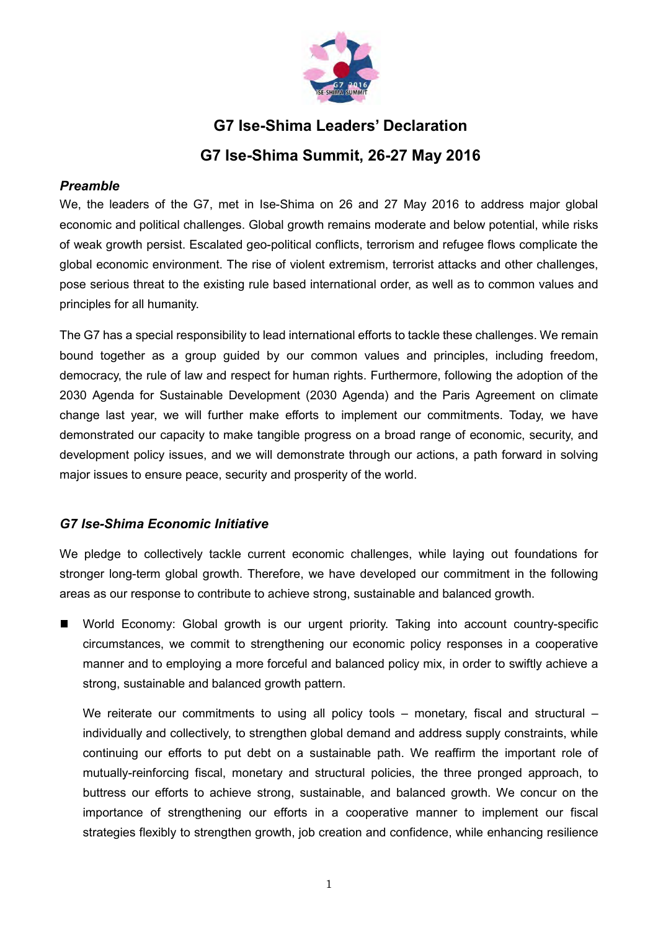

# **G7 Ise-Shima Leaders' Declaration G7 Ise-Shima Summit, 26-27 May 2016**

# *Preamble*

We, the leaders of the G7, met in Ise-Shima on 26 and 27 May 2016 to address major global economic and political challenges. Global growth remains moderate and below potential, while risks of weak growth persist. Escalated geo-political conflicts, terrorism and refugee flows complicate the global economic environment. The rise of violent extremism, terrorist attacks and other challenges, pose serious threat to the existing rule based international order, as well as to common values and principles for all humanity.

The G7 has a special responsibility to lead international efforts to tackle these challenges. We remain bound together as a group guided by our common values and principles, including freedom, democracy, the rule of law and respect for human rights. Furthermore, following the adoption of the 2030 Agenda for Sustainable Development (2030 Agenda) and the Paris Agreement on climate change last year, we will further make efforts to implement our commitments. Today, we have demonstrated our capacity to make tangible progress on a broad range of economic, security, and development policy issues, and we will demonstrate through our actions, a path forward in solving major issues to ensure peace, security and prosperity of the world.

# *G7 Ise-Shima Economic Initiative*

We pledge to collectively tackle current economic challenges, while laying out foundations for stronger long-term global growth. Therefore, we have developed our commitment in the following areas as our response to contribute to achieve strong, sustainable and balanced growth.

World Economy: Global growth is our urgent priority. Taking into account country-specific  $\blacksquare$ circumstances, we commit to strengthening our economic policy responses in a cooperative manner and to employing a more forceful and balanced policy mix, in order to swiftly achieve a strong, sustainable and balanced growth pattern.

We reiterate our commitments to using all policy tools – monetary, fiscal and structural – individually and collectively, to strengthen global demand and address supply constraints, while continuing our efforts to put debt on a sustainable path. We reaffirm the important role of mutually-reinforcing fiscal, monetary and structural policies, the three pronged approach, to buttress our efforts to achieve strong, sustainable, and balanced growth. We concur on the importance of strengthening our efforts in a cooperative manner to implement our fiscal strategies flexibly to strengthen growth, job creation and confidence, while enhancing resilience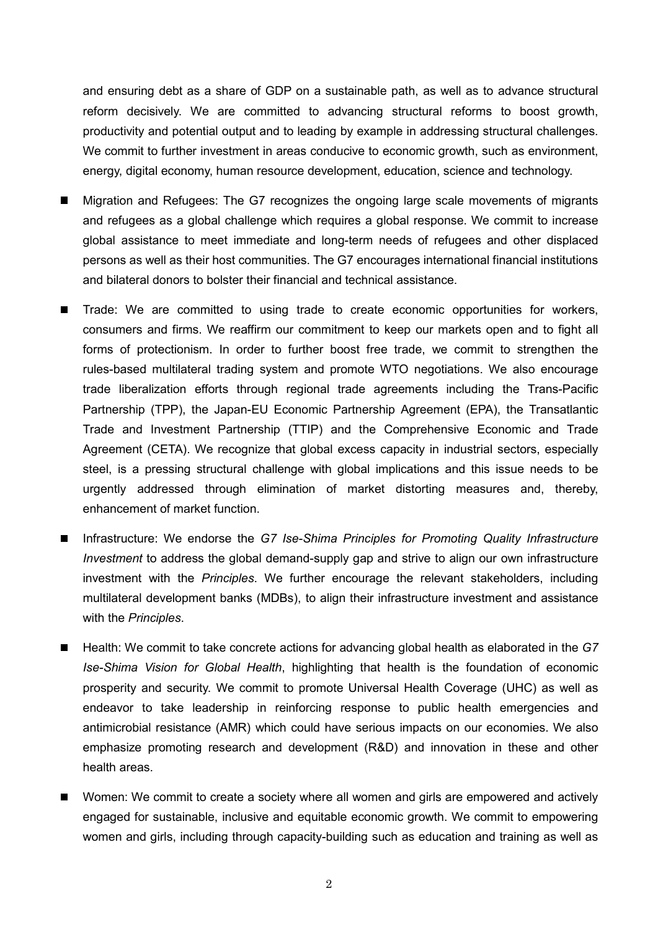and ensuring debt as a share of GDP on a sustainable path, as well as to advance structural reform decisively. We are committed to advancing structural reforms to boost growth, productivity and potential output and to leading by example in addressing structural challenges. We commit to further investment in areas conducive to economic growth, such as environment, energy, digital economy, human resource development, education, science and technology.

- Migration and Refugees: The G7 recognizes the ongoing large scale movements of migrants and refugees as a global challenge which requires a global response. We commit to increase global assistance to meet immediate and long-term needs of refugees and other displaced persons as well as their host communities. The G7 encourages international financial institutions and bilateral donors to bolster their financial and technical assistance.
- Trade: We are committed to using trade to create economic opportunities for workers, consumers and firms. We reaffirm our commitment to keep our markets open and to fight all forms of protectionism. In order to further boost free trade, we commit to strengthen the rules-based multilateral trading system and promote WTO negotiations. We also encourage trade liberalization efforts through regional trade agreements including the Trans-Pacific Partnership (TPP), the Japan-EU Economic Partnership Agreement (EPA), the Transatlantic Trade and Investment Partnership (TTIP) and the Comprehensive Economic and Trade Agreement (CETA). We recognize that global excess capacity in industrial sectors, especially steel, is a pressing structural challenge with global implications and this issue needs to be urgently addressed through elimination of market distorting measures and, thereby, enhancement of market function.
- Infrastructure: We endorse the *G7 Ise-Shima Principles for Promoting Quality Infrastructure Investment* to address the global demand-supply gap and strive to align our own infrastructure investment with the *Principles*. We further encourage the relevant stakeholders, including multilateral development banks (MDBs), to align their infrastructure investment and assistance with the *Principles*.
- Health: We commit to take concrete actions for advancing global health as elaborated in the *G7*  $\blacksquare$ *Ise-Shima Vision for Global Health*, highlighting that health is the foundation of economic prosperity and security. We commit to promote Universal Health Coverage (UHC) as well as endeavor to take leadership in reinforcing response to public health emergencies and antimicrobial resistance (AMR) which could have serious impacts on our economies. We also emphasize promoting research and development (R&D) and innovation in these and other health areas.
- Women: We commit to create a society where all women and girls are empowered and actively engaged for sustainable, inclusive and equitable economic growth. We commit to empowering women and girls, including through capacity-building such as education and training as well as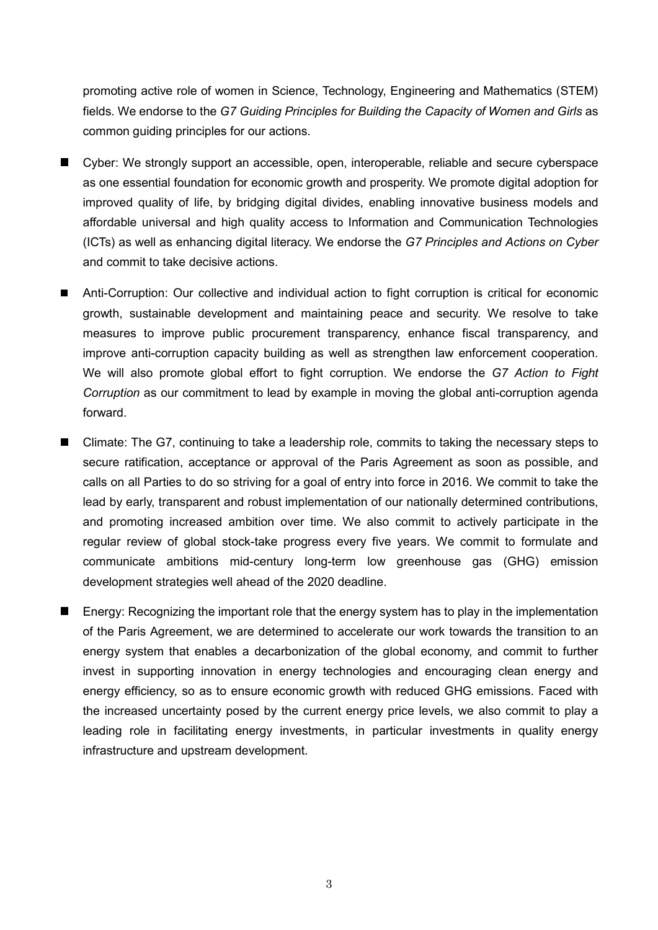promoting active role of women in Science, Technology, Engineering and Mathematics (STEM) fields. We endorse to the *G7 Guiding Principles for Building the Capacity of Women and Girls* as common guiding principles for our actions.

- Cyber: We strongly support an accessible, open, interoperable, reliable and secure cyberspace as one essential foundation for economic growth and prosperity. We promote digital adoption for improved quality of life, by bridging digital divides, enabling innovative business models and affordable universal and high quality access to Information and Communication Technologies (ICTs) as well as enhancing digital literacy. We endorse the *G7 Principles and Actions on Cyber* and commit to take decisive actions.
- Anti-Corruption: Our collective and individual action to fight corruption is critical for economic growth, sustainable development and maintaining peace and security. We resolve to take measures to improve public procurement transparency, enhance fiscal transparency, and improve anti-corruption capacity building as well as strengthen law enforcement cooperation. We will also promote global effort to fight corruption. We endorse the *G7 Action to Fight Corruption* as our commitment to lead by example in moving the global anti-corruption agenda forward.
- Climate: The G7, continuing to take a leadership role, commits to taking the necessary steps to secure ratification, acceptance or approval of the Paris Agreement as soon as possible, and calls on all Parties to do so striving for a goal of entry into force in 2016. We commit to take the lead by early, transparent and robust implementation of our nationally determined contributions, and promoting increased ambition over time. We also commit to actively participate in the regular review of global stock-take progress every five years. We commit to formulate and communicate ambitions mid-century long-term low greenhouse gas (GHG) emission development strategies well ahead of the 2020 deadline.
- **E** Energy: Recognizing the important role that the energy system has to play in the implementation of the Paris Agreement, we are determined to accelerate our work towards the transition to an energy system that enables a decarbonization of the global economy, and commit to further invest in supporting innovation in energy technologies and encouraging clean energy and energy efficiency, so as to ensure economic growth with reduced GHG emissions. Faced with the increased uncertainty posed by the current energy price levels, we also commit to play a leading role in facilitating energy investments, in particular investments in quality energy infrastructure and upstream development.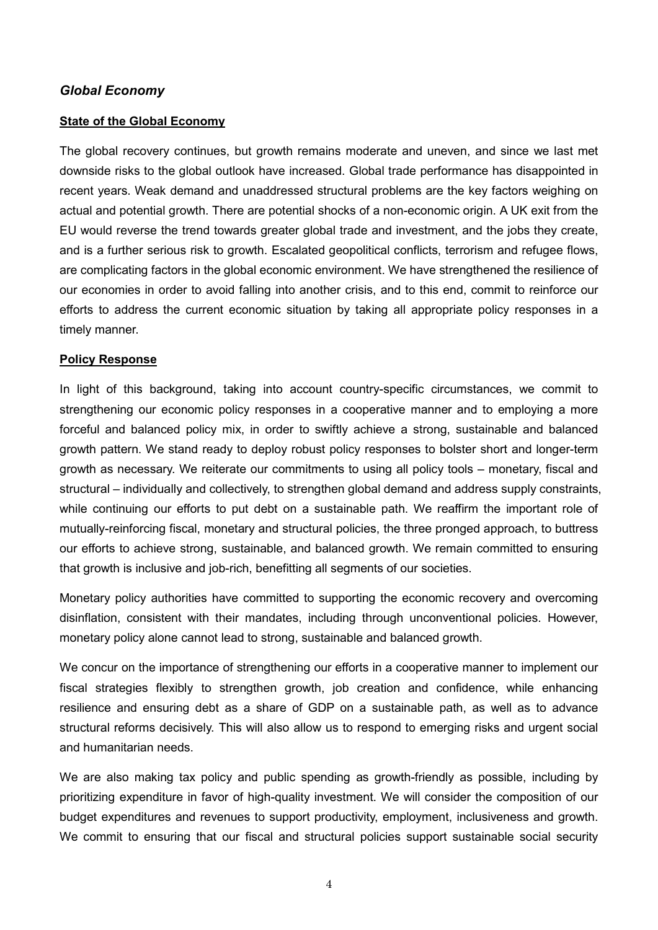## *Global Economy*

#### **State of the Global Economy**

The global recovery continues, but growth remains moderate and uneven, and since we last met downside risks to the global outlook have increased. Global trade performance has disappointed in recent years. Weak demand and unaddressed structural problems are the key factors weighing on actual and potential growth. There are potential shocks of a non-economic origin. A UK exit from the EU would reverse the trend towards greater global trade and investment, and the jobs they create, and is a further serious risk to growth. Escalated geopolitical conflicts, terrorism and refugee flows, are complicating factors in the global economic environment. We have strengthened the resilience of our economies in order to avoid falling into another crisis, and to this end, commit to reinforce our efforts to address the current economic situation by taking all appropriate policy responses in a timely manner.

#### **Policy Response**

In light of this background, taking into account country-specific circumstances, we commit to strengthening our economic policy responses in a cooperative manner and to employing a more forceful and balanced policy mix, in order to swiftly achieve a strong, sustainable and balanced growth pattern. We stand ready to deploy robust policy responses to bolster short and longer-term growth as necessary. We reiterate our commitments to using all policy tools – monetary, fiscal and structural – individually and collectively, to strengthen global demand and address supply constraints, while continuing our efforts to put debt on a sustainable path. We reaffirm the important role of mutually-reinforcing fiscal, monetary and structural policies, the three pronged approach, to buttress our efforts to achieve strong, sustainable, and balanced growth. We remain committed to ensuring that growth is inclusive and job-rich, benefitting all segments of our societies.

Monetary policy authorities have committed to supporting the economic recovery and overcoming disinflation, consistent with their mandates, including through unconventional policies. However, monetary policy alone cannot lead to strong, sustainable and balanced growth.

We concur on the importance of strengthening our efforts in a cooperative manner to implement our fiscal strategies flexibly to strengthen growth, job creation and confidence, while enhancing resilience and ensuring debt as a share of GDP on a sustainable path, as well as to advance structural reforms decisively. This will also allow us to respond to emerging risks and urgent social and humanitarian needs.

We are also making tax policy and public spending as growth-friendly as possible, including by prioritizing expenditure in favor of high-quality investment. We will consider the composition of our budget expenditures and revenues to support productivity, employment, inclusiveness and growth. We commit to ensuring that our fiscal and structural policies support sustainable social security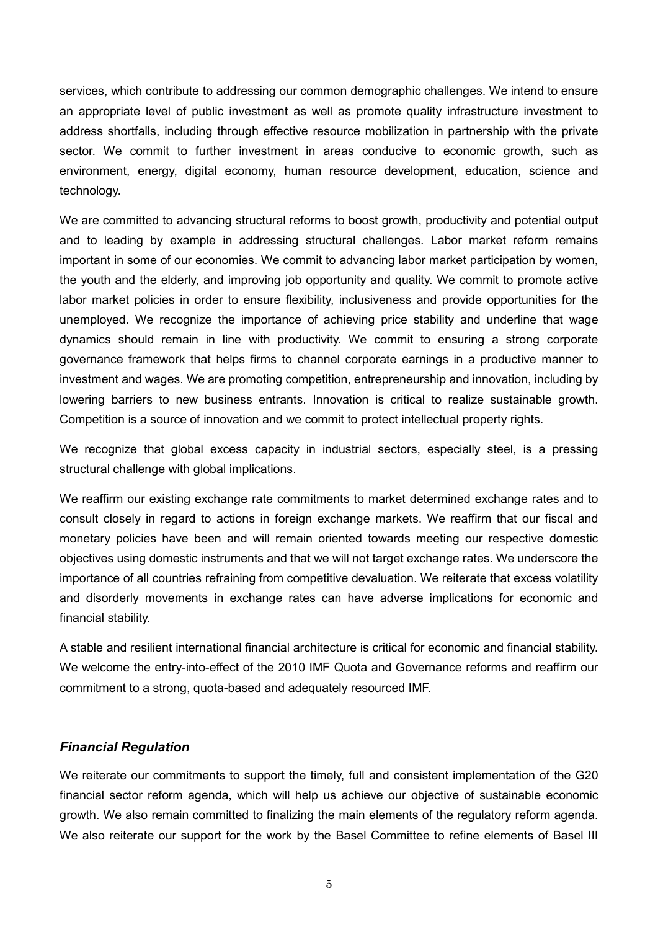services, which contribute to addressing our common demographic challenges. We intend to ensure an appropriate level of public investment as well as promote quality infrastructure investment to address shortfalls, including through effective resource mobilization in partnership with the private sector. We commit to further investment in areas conducive to economic growth, such as environment, energy, digital economy, human resource development, education, science and technology.

We are committed to advancing structural reforms to boost growth, productivity and potential output and to leading by example in addressing structural challenges. Labor market reform remains important in some of our economies. We commit to advancing labor market participation by women, the youth and the elderly, and improving job opportunity and quality. We commit to promote active labor market policies in order to ensure flexibility, inclusiveness and provide opportunities for the unemployed. We recognize the importance of achieving price stability and underline that wage dynamics should remain in line with productivity. We commit to ensuring a strong corporate governance framework that helps firms to channel corporate earnings in a productive manner to investment and wages. We are promoting competition, entrepreneurship and innovation, including by lowering barriers to new business entrants. Innovation is critical to realize sustainable growth. Competition is a source of innovation and we commit to protect intellectual property rights.

We recognize that global excess capacity in industrial sectors, especially steel, is a pressing structural challenge with global implications.

We reaffirm our existing exchange rate commitments to market determined exchange rates and to consult closely in regard to actions in foreign exchange markets. We reaffirm that our fiscal and monetary policies have been and will remain oriented towards meeting our respective domestic objectives using domestic instruments and that we will not target exchange rates. We underscore the importance of all countries refraining from competitive devaluation. We reiterate that excess volatility and disorderly movements in exchange rates can have adverse implications for economic and financial stability.

A stable and resilient international financial architecture is critical for economic and financial stability. We welcome the entry-into-effect of the 2010 IMF Quota and Governance reforms and reaffirm our commitment to a strong, quota-based and adequately resourced IMF.

#### *Financial Regulation*

We reiterate our commitments to support the timely, full and consistent implementation of the G20 financial sector reform agenda, which will help us achieve our objective of sustainable economic growth. We also remain committed to finalizing the main elements of the regulatory reform agenda. We also reiterate our support for the work by the Basel Committee to refine elements of Basel III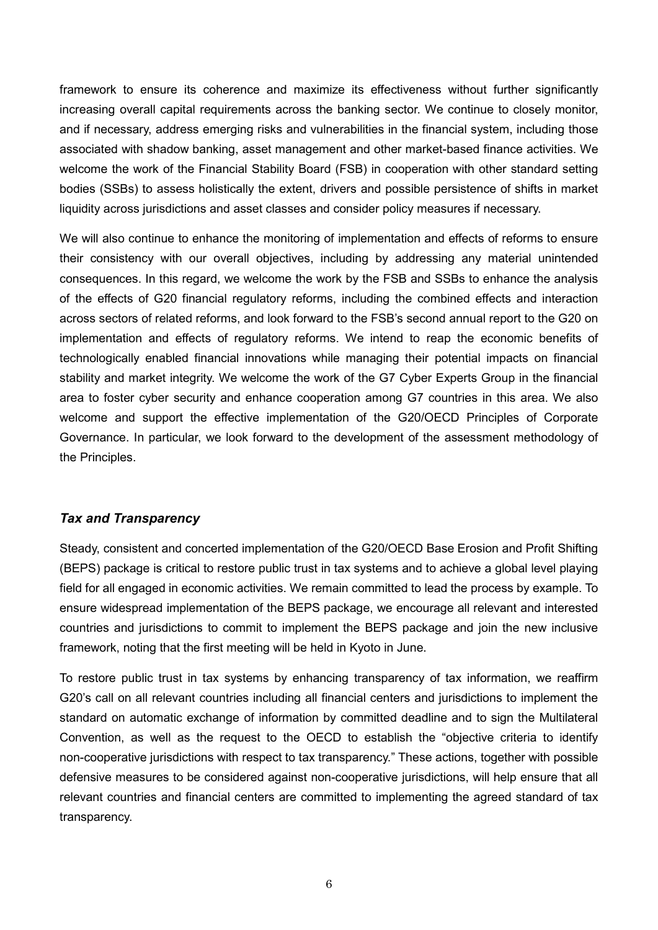framework to ensure its coherence and maximize its effectiveness without further significantly increasing overall capital requirements across the banking sector. We continue to closely monitor, and if necessary, address emerging risks and vulnerabilities in the financial system, including those associated with shadow banking, asset management and other market-based finance activities. We welcome the work of the Financial Stability Board (FSB) in cooperation with other standard setting bodies (SSBs) to assess holistically the extent, drivers and possible persistence of shifts in market liquidity across jurisdictions and asset classes and consider policy measures if necessary.

We will also continue to enhance the monitoring of implementation and effects of reforms to ensure their consistency with our overall objectives, including by addressing any material unintended consequences. In this regard, we welcome the work by the FSB and SSBs to enhance the analysis of the effects of G20 financial regulatory reforms, including the combined effects and interaction across sectors of related reforms, and look forward to the FSB's second annual report to the G20 on implementation and effects of regulatory reforms. We intend to reap the economic benefits of technologically enabled financial innovations while managing their potential impacts on financial stability and market integrity. We welcome the work of the G7 Cyber Experts Group in the financial area to foster cyber security and enhance cooperation among G7 countries in this area. We also welcome and support the effective implementation of the G20/OECD Principles of Corporate Governance. In particular, we look forward to the development of the assessment methodology of the Principles.

## *Tax and Transparency*

Steady, consistent and concerted implementation of the G20/OECD Base Erosion and Profit Shifting (BEPS) package is critical to restore public trust in tax systems and to achieve a global level playing field for all engaged in economic activities. We remain committed to lead the process by example. To ensure widespread implementation of the BEPS package, we encourage all relevant and interested countries and jurisdictions to commit to implement the BEPS package and join the new inclusive framework, noting that the first meeting will be held in Kyoto in June.

To restore public trust in tax systems by enhancing transparency of tax information, we reaffirm G20's call on all relevant countries including all financial centers and jurisdictions to implement the standard on automatic exchange of information by committed deadline and to sign the Multilateral Convention, as well as the request to the OECD to establish the "objective criteria to identify non-cooperative jurisdictions with respect to tax transparency." These actions, together with possible defensive measures to be considered against non-cooperative jurisdictions, will help ensure that all relevant countries and financial centers are committed to implementing the agreed standard of tax transparency.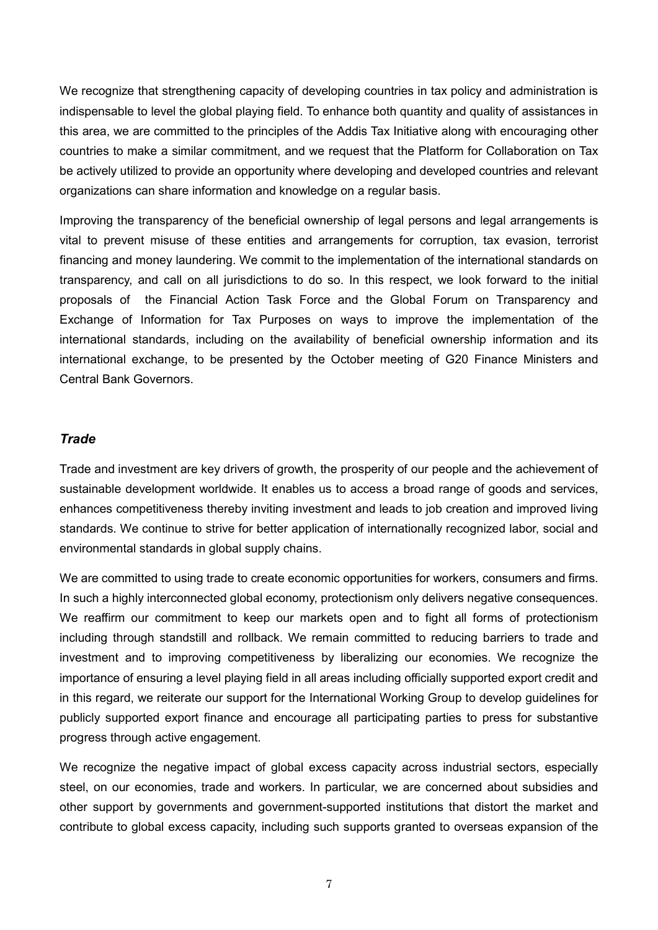We recognize that strengthening capacity of developing countries in tax policy and administration is indispensable to level the global playing field. To enhance both quantity and quality of assistances in this area, we are committed to the principles of the Addis Tax Initiative along with encouraging other countries to make a similar commitment, and we request that the Platform for Collaboration on Tax be actively utilized to provide an opportunity where developing and developed countries and relevant organizations can share information and knowledge on a regular basis.

Improving the transparency of the beneficial ownership of legal persons and legal arrangements is vital to prevent misuse of these entities and arrangements for corruption, tax evasion, terrorist financing and money laundering. We commit to the implementation of the international standards on transparency, and call on all jurisdictions to do so. In this respect, we look forward to the initial proposals of the Financial Action Task Force and the Global Forum on Transparency and Exchange of Information for Tax Purposes on ways to improve the implementation of the international standards, including on the availability of beneficial ownership information and its international exchange, to be presented by the October meeting of G20 Finance Ministers and Central Bank Governors.

## *Trade*

Trade and investment are key drivers of growth, the prosperity of our people and the achievement of sustainable development worldwide. It enables us to access a broad range of goods and services, enhances competitiveness thereby inviting investment and leads to job creation and improved living standards. We continue to strive for better application of internationally recognized labor, social and environmental standards in global supply chains.

We are committed to using trade to create economic opportunities for workers, consumers and firms. In such a highly interconnected global economy, protectionism only delivers negative consequences. We reaffirm our commitment to keep our markets open and to fight all forms of protectionism including through standstill and rollback. We remain committed to reducing barriers to trade and investment and to improving competitiveness by liberalizing our economies. We recognize the importance of ensuring a level playing field in all areas including officially supported export credit and in this regard, we reiterate our support for the International Working Group to develop guidelines for publicly supported export finance and encourage all participating parties to press for substantive progress through active engagement.

We recognize the negative impact of global excess capacity across industrial sectors, especially steel, on our economies, trade and workers. In particular, we are concerned about subsidies and other support by governments and government-supported institutions that distort the market and contribute to global excess capacity, including such supports granted to overseas expansion of the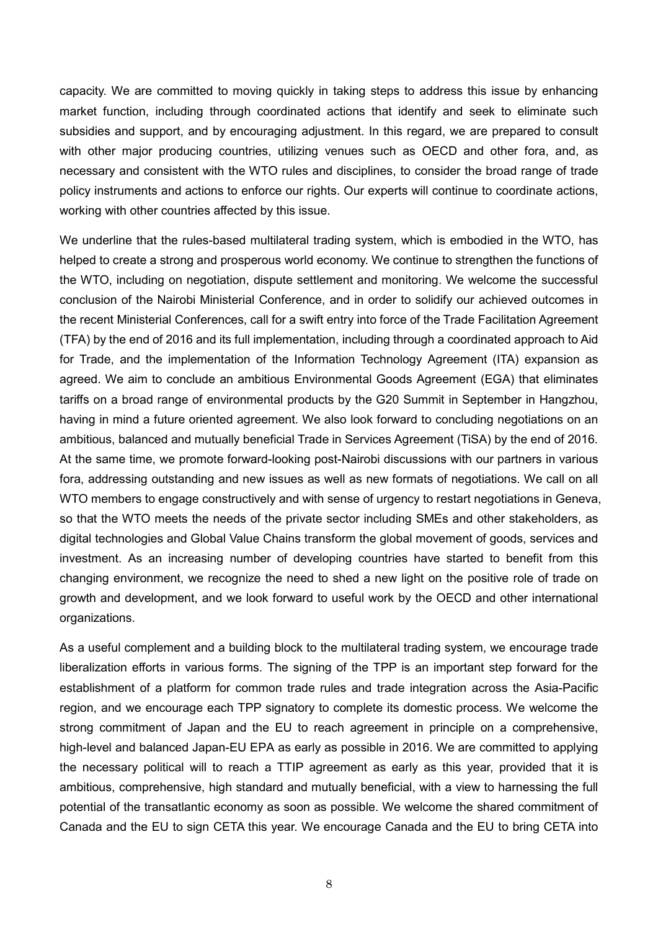capacity. We are committed to moving quickly in taking steps to address this issue by enhancing market function, including through coordinated actions that identify and seek to eliminate such subsidies and support, and by encouraging adjustment. In this regard, we are prepared to consult with other major producing countries, utilizing venues such as OECD and other fora, and, as necessary and consistent with the WTO rules and disciplines, to consider the broad range of trade policy instruments and actions to enforce our rights. Our experts will continue to coordinate actions, working with other countries affected by this issue.

We underline that the rules-based multilateral trading system, which is embodied in the WTO, has helped to create a strong and prosperous world economy. We continue to strengthen the functions of the WTO, including on negotiation, dispute settlement and monitoring. We welcome the successful conclusion of the Nairobi Ministerial Conference, and in order to solidify our achieved outcomes in the recent Ministerial Conferences, call for a swift entry into force of the Trade Facilitation Agreement (TFA) by the end of 2016 and its full implementation, including through a coordinated approach to Aid for Trade, and the implementation of the Information Technology Agreement (ITA) expansion as agreed. We aim to conclude an ambitious Environmental Goods Agreement (EGA) that eliminates tariffs on a broad range of environmental products by the G20 Summit in September in Hangzhou, having in mind a future oriented agreement. We also look forward to concluding negotiations on an ambitious, balanced and mutually beneficial Trade in Services Agreement (TiSA) by the end of 2016. At the same time, we promote forward-looking post-Nairobi discussions with our partners in various fora, addressing outstanding and new issues as well as new formats of negotiations. We call on all WTO members to engage constructively and with sense of urgency to restart negotiations in Geneva, so that the WTO meets the needs of the private sector including SMEs and other stakeholders, as digital technologies and Global Value Chains transform the global movement of goods, services and investment. As an increasing number of developing countries have started to benefit from this changing environment, we recognize the need to shed a new light on the positive role of trade on growth and development, and we look forward to useful work by the OECD and other international organizations.

As a useful complement and a building block to the multilateral trading system, we encourage trade liberalization efforts in various forms. The signing of the TPP is an important step forward for the establishment of a platform for common trade rules and trade integration across the Asia-Pacific region, and we encourage each TPP signatory to complete its domestic process. We welcome the strong commitment of Japan and the EU to reach agreement in principle on a comprehensive, high-level and balanced Japan-EU EPA as early as possible in 2016. We are committed to applying the necessary political will to reach a TTIP agreement as early as this year, provided that it is ambitious, comprehensive, high standard and mutually beneficial, with a view to harnessing the full potential of the transatlantic economy as soon as possible. We welcome the shared commitment of Canada and the EU to sign CETA this year. We encourage Canada and the EU to bring CETA into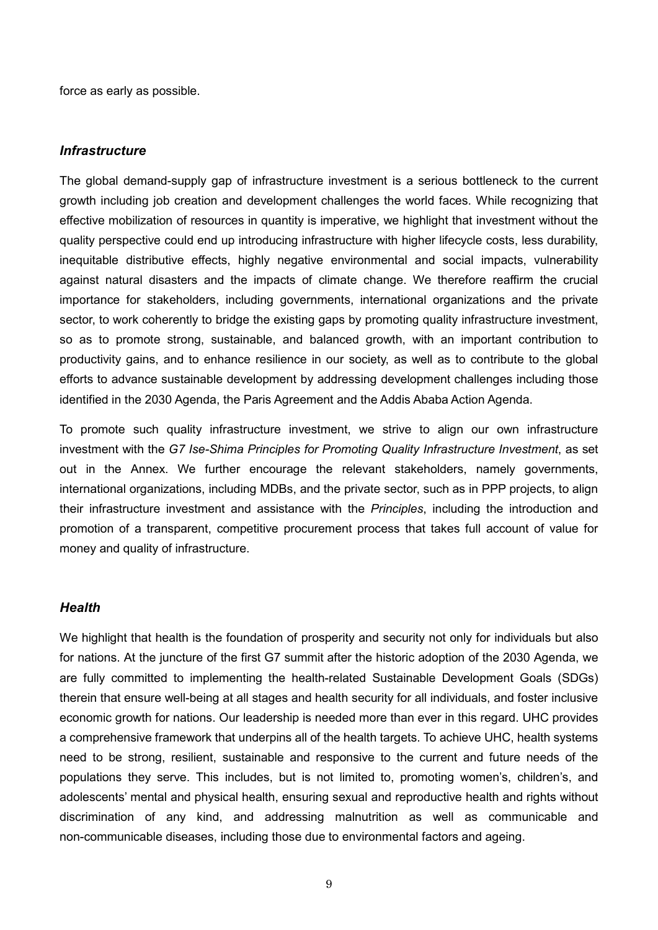force as early as possible.

#### *Infrastructure*

The global demand-supply gap of infrastructure investment is a serious bottleneck to the current growth including job creation and development challenges the world faces. While recognizing that effective mobilization of resources in quantity is imperative, we highlight that investment without the quality perspective could end up introducing infrastructure with higher lifecycle costs, less durability, inequitable distributive effects, highly negative environmental and social impacts, vulnerability against natural disasters and the impacts of climate change. We therefore reaffirm the crucial importance for stakeholders, including governments, international organizations and the private sector, to work coherently to bridge the existing gaps by promoting quality infrastructure investment, so as to promote strong, sustainable, and balanced growth, with an important contribution to productivity gains, and to enhance resilience in our society, as well as to contribute to the global efforts to advance sustainable development by addressing development challenges including those identified in the 2030 Agenda, the Paris Agreement and the Addis Ababa Action Agenda.

To promote such quality infrastructure investment, we strive to align our own infrastructure investment with the *G7 Ise-Shima Principles for Promoting Quality Infrastructure Investment*, as set out in the Annex. We further encourage the relevant stakeholders, namely governments, international organizations, including MDBs, and the private sector, such as in PPP projects, to align their infrastructure investment and assistance with the *Principles*, including the introduction and promotion of a transparent, competitive procurement process that takes full account of value for money and quality of infrastructure.

#### *Health*

We highlight that health is the foundation of prosperity and security not only for individuals but also for nations. At the juncture of the first G7 summit after the historic adoption of the 2030 Agenda, we are fully committed to implementing the health-related Sustainable Development Goals (SDGs) therein that ensure well-being at all stages and health security for all individuals, and foster inclusive economic growth for nations. Our leadership is needed more than ever in this regard. UHC provides a comprehensive framework that underpins all of the health targets. To achieve UHC, health systems need to be strong, resilient, sustainable and responsive to the current and future needs of the populations they serve. This includes, but is not limited to, promoting women's, children's, and adolescents' mental and physical health, ensuring sexual and reproductive health and rights without discrimination of any kind, and addressing malnutrition as well as communicable and non-communicable diseases, including those due to environmental factors and ageing.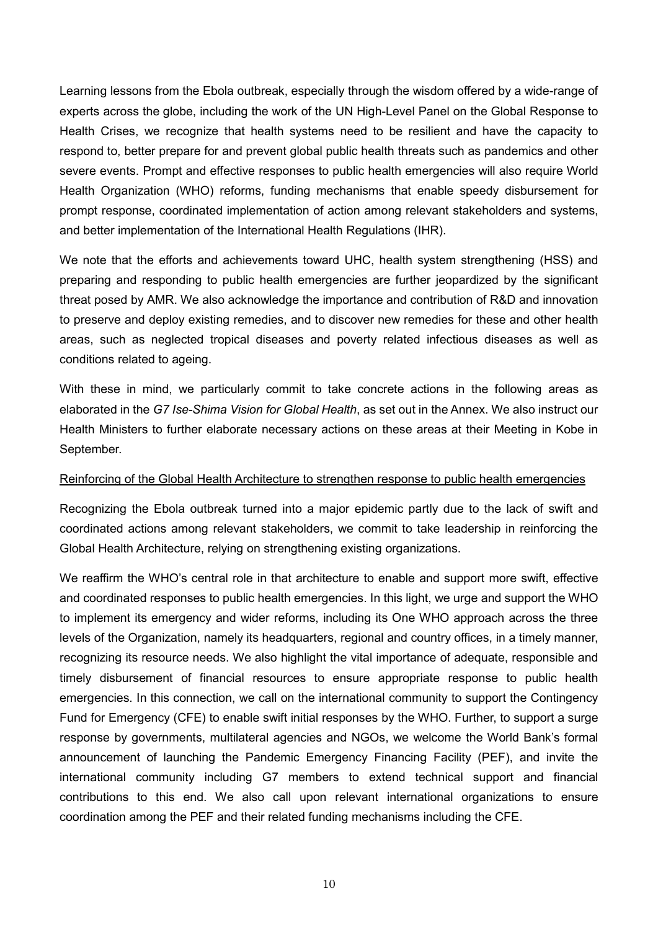Learning lessons from the Ebola outbreak, especially through the wisdom offered by a wide-range of experts across the globe, including the work of the UN High-Level Panel on the Global Response to Health Crises, we recognize that health systems need to be resilient and have the capacity to respond to, better prepare for and prevent global public health threats such as pandemics and other severe events. Prompt and effective responses to public health emergencies will also require World Health Organization (WHO) reforms, funding mechanisms that enable speedy disbursement for prompt response, coordinated implementation of action among relevant stakeholders and systems, and better implementation of the International Health Regulations (IHR).

We note that the efforts and achievements toward UHC, health system strengthening (HSS) and preparing and responding to public health emergencies are further jeopardized by the significant threat posed by AMR. We also acknowledge the importance and contribution of R&D and innovation to preserve and deploy existing remedies, and to discover new remedies for these and other health areas, such as neglected tropical diseases and poverty related infectious diseases as well as conditions related to ageing.

With these in mind, we particularly commit to take concrete actions in the following areas as elaborated in the *G7 Ise-Shima Vision for Global Health*, as set out in the Annex. We also instruct our Health Ministers to further elaborate necessary actions on these areas at their Meeting in Kobe in September.

#### Reinforcing of the Global Health Architecture to strengthen response to public health emergencies

Recognizing the Ebola outbreak turned into a major epidemic partly due to the lack of swift and coordinated actions among relevant stakeholders, we commit to take leadership in reinforcing the Global Health Architecture, relying on strengthening existing organizations.

We reaffirm the WHO's central role in that architecture to enable and support more swift, effective and coordinated responses to public health emergencies. In this light, we urge and support the WHO to implement its emergency and wider reforms, including its One WHO approach across the three levels of the Organization, namely its headquarters, regional and country offices, in a timely manner, recognizing its resource needs. We also highlight the vital importance of adequate, responsible and timely disbursement of financial resources to ensure appropriate response to public health emergencies. In this connection, we call on the international community to support the Contingency Fund for Emergency (CFE) to enable swift initial responses by the WHO. Further, to support a surge response by governments, multilateral agencies and NGOs, we welcome the World Bank's formal announcement of launching the Pandemic Emergency Financing Facility (PEF), and invite the international community including G7 members to extend technical support and financial contributions to this end. We also call upon relevant international organizations to ensure coordination among the PEF and their related funding mechanisms including the CFE.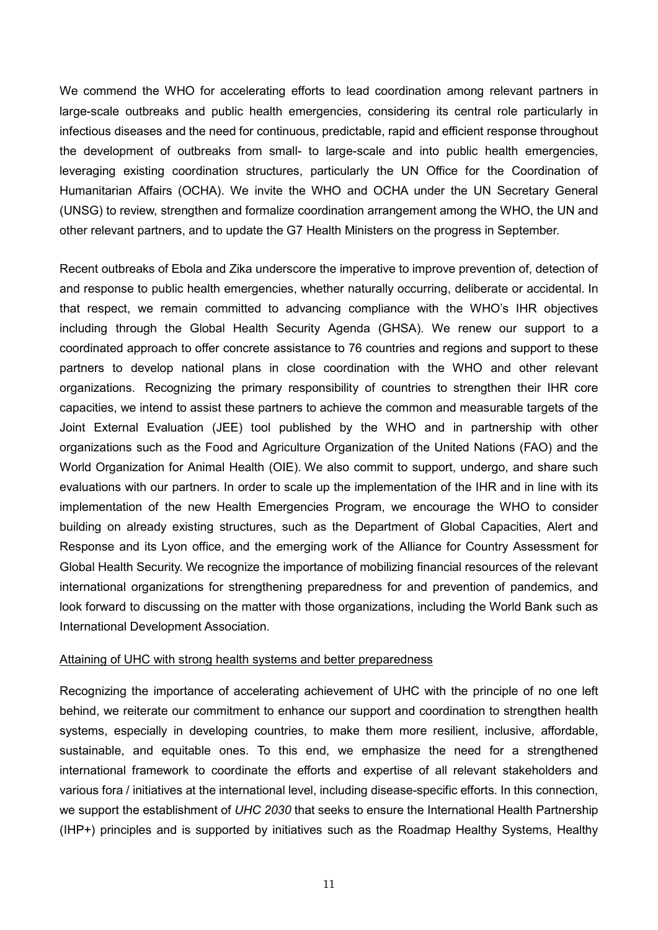We commend the WHO for accelerating efforts to lead coordination among relevant partners in large-scale outbreaks and public health emergencies, considering its central role particularly in infectious diseases and the need for continuous, predictable, rapid and efficient response throughout the development of outbreaks from small- to large-scale and into public health emergencies, leveraging existing coordination structures, particularly the UN Office for the Coordination of Humanitarian Affairs (OCHA). We invite the WHO and OCHA under the UN Secretary General (UNSG) to review, strengthen and formalize coordination arrangement among the WHO, the UN and other relevant partners, and to update the G7 Health Ministers on the progress in September.

Recent outbreaks of Ebola and Zika underscore the imperative to improve prevention of, detection of and response to public health emergencies, whether naturally occurring, deliberate or accidental. In that respect, we remain committed to advancing compliance with the WHO's IHR objectives including through the Global Health Security Agenda (GHSA). We renew our support to a coordinated approach to offer concrete assistance to 76 countries and regions and support to these partners to develop national plans in close coordination with the WHO and other relevant organizations. Recognizing the primary responsibility of countries to strengthen their IHR core capacities, we intend to assist these partners to achieve the common and measurable targets of the Joint External Evaluation (JEE) tool published by the WHO and in partnership with other organizations such as the Food and Agriculture Organization of the United Nations (FAO) and the World Organization for Animal Health (OIE). We also commit to support, undergo, and share such evaluations with our partners. In order to scale up the implementation of the IHR and in line with its implementation of the new Health Emergencies Program, we encourage the WHO to consider building on already existing structures, such as the Department of Global Capacities, Alert and Response and its Lyon office, and the emerging work of the Alliance for Country Assessment for Global Health Security. We recognize the importance of mobilizing financial resources of the relevant international organizations for strengthening preparedness for and prevention of pandemics, and look forward to discussing on the matter with those organizations, including the World Bank such as International Development Association.

#### Attaining of UHC with strong health systems and better preparedness

Recognizing the importance of accelerating achievement of UHC with the principle of no one left behind, we reiterate our commitment to enhance our support and coordination to strengthen health systems, especially in developing countries, to make them more resilient, inclusive, affordable, sustainable, and equitable ones. To this end, we emphasize the need for a strengthened international framework to coordinate the efforts and expertise of all relevant stakeholders and various fora / initiatives at the international level, including disease-specific efforts. In this connection, we support the establishment of *UHC 2030* that seeks to ensure the International Health Partnership (IHP+) principles and is supported by initiatives such as the Roadmap Healthy Systems, Healthy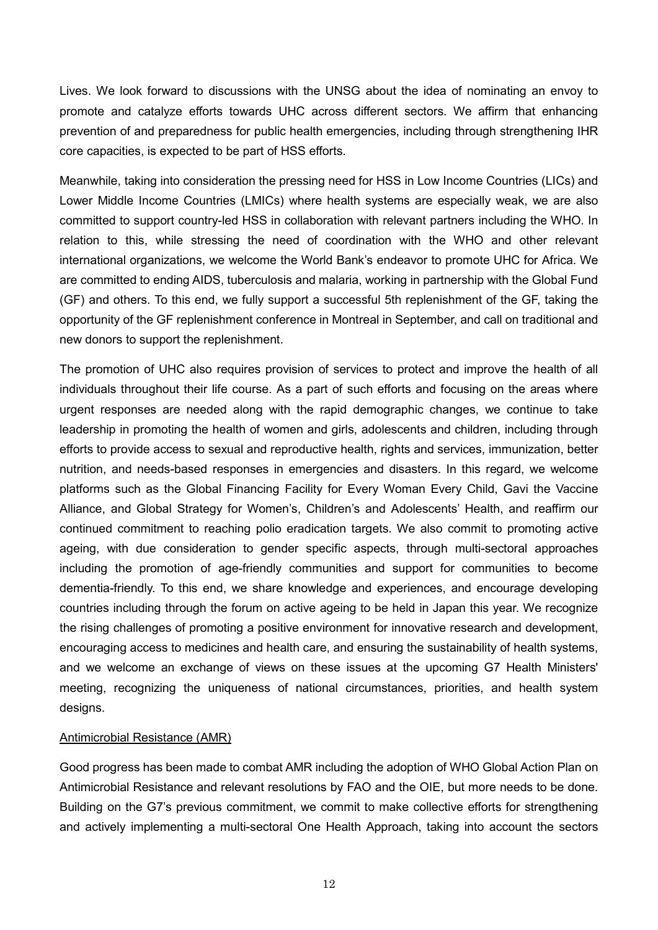Lives. We look forward to discussions with the UNSG about the idea of nominating an envoy to promote and catalyze efforts towards UHC across different sectors. We affirm that enhancing prevention of and preparedness for public health emergencies, including through strengthening IHR core capacities, is expected to be part of HSS efforts.

Meanwhile, taking into consideration the pressing need for HSS in Low Income Countries (LICs) and Lower Middle Income Countries (LMICs) where health systems are especially weak, we are also committed to support country-led HSS in collaboration with relevant partners including the WHO. In relation to this, while stressing the need of coordination with the WHO and other relevant international organizations, we welcome the World Bank's endeavor to promote UHC for Africa. We are committed to ending AIDS, tuberculosis and malaria, working in partnership with the Global Fund (GF) and others. To this end, we fully support a successful 5th replenishment of the GF, taking the opportunity of the GF replenishment conference in Montreal in September, and call on traditional and new donors to support the replenishment.

The promotion of UHC also requires provision of services to protect and improve the health of all individuals throughout their life course. As a part of such efforts and focusing on the areas where urgent responses are needed along with the rapid demographic changes, we continue to take leadership in promoting the health of women and girls, adolescents and children, including through efforts to provide access to sexual and reproductive health, rights and services, immunization, better nutrition, and needs-based responses in emergencies and disasters. In this regard, we welcome platforms such as the Global Financing Facility for Every Woman Every Child, Gavi the Vaccine Alliance, and Global Strategy for Women's, Children's and Adolescents' Health, and reaffirm our continued commitment to reaching polio eradication targets. We also commit to promoting active ageing, with due consideration to gender specific aspects, through multi-sectoral approaches including the promotion of age-friendly communities and support for communities to become dementia-friendly. To this end, we share knowledge and experiences, and encourage developing countries including through the forum on active ageing to be held in Japan this year. We recognize the rising challenges of promoting a positive environment for innovative research and development, encouraging access to medicines and health care, and ensuring the sustainability of health systems, and we welcome an exchange of views on these issues at the upcoming G7 Health Ministers' meeting, recognizing the uniqueness of national circumstances, priorities, and health system designs.

#### Antimicrobial Resistance (AMR)

Good progress has been made to combat AMR including the adoption of WHO Global Action Plan on Antimicrobial Resistance and relevant resolutions by FAO and the OIE, but more needs to be done. Building on the G7's previous commitment, we commit to make collective efforts for strengthening and actively implementing a multi-sectoral One Health Approach, taking into account the sectors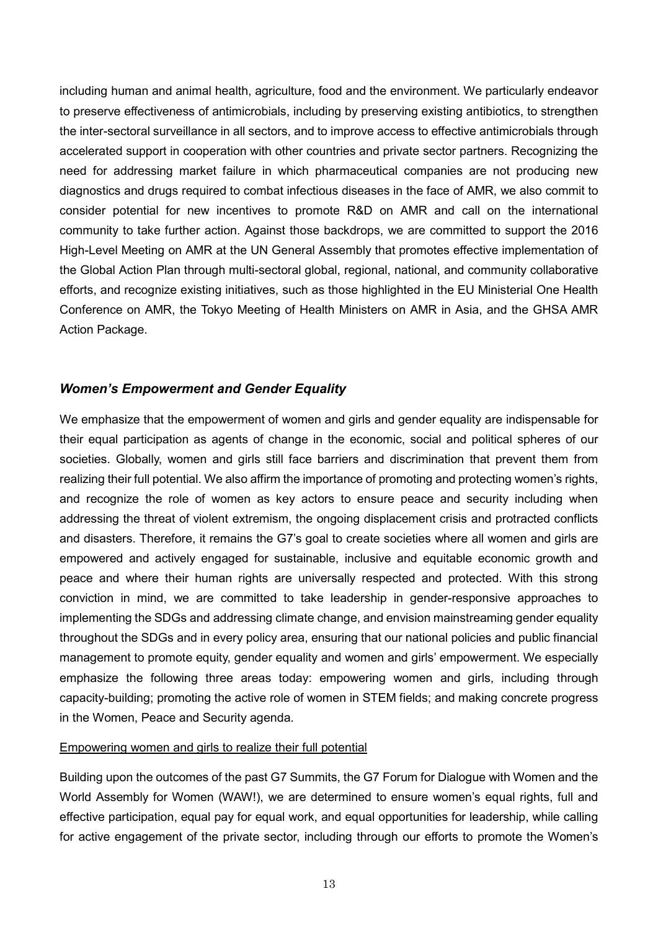including human and animal health, agriculture, food and the environment. We particularly endeavor to preserve effectiveness of antimicrobials, including by preserving existing antibiotics, to strengthen the inter-sectoral surveillance in all sectors, and to improve access to effective antimicrobials through accelerated support in cooperation with other countries and private sector partners. Recognizing the need for addressing market failure in which pharmaceutical companies are not producing new diagnostics and drugs required to combat infectious diseases in the face of AMR, we also commit to consider potential for new incentives to promote R&D on AMR and call on the international community to take further action. Against those backdrops, we are committed to support the 2016 High-Level Meeting on AMR at the UN General Assembly that promotes effective implementation of the Global Action Plan through multi-sectoral global, regional, national, and community collaborative efforts, and recognize existing initiatives, such as those highlighted in the EU Ministerial One Health Conference on AMR, the Tokyo Meeting of Health Ministers on AMR in Asia, and the GHSA AMR Action Package.

# *Women's Empowerment and Gender Equality*

We emphasize that the empowerment of women and girls and gender equality are indispensable for their equal participation as agents of change in the economic, social and political spheres of our societies. Globally, women and girls still face barriers and discrimination that prevent them from realizing their full potential. We also affirm the importance of promoting and protecting women's rights, and recognize the role of women as key actors to ensure peace and security including when addressing the threat of violent extremism, the ongoing displacement crisis and protracted conflicts and disasters. Therefore, it remains the G7's goal to create societies where all women and girls are empowered and actively engaged for sustainable, inclusive and equitable economic growth and peace and where their human rights are universally respected and protected. With this strong conviction in mind, we are committed to take leadership in gender-responsive approaches to implementing the SDGs and addressing climate change, and envision mainstreaming gender equality throughout the SDGs and in every policy area, ensuring that our national policies and public financial management to promote equity, gender equality and women and girls' empowerment. We especially emphasize the following three areas today: empowering women and girls, including through capacity-building; promoting the active role of women in STEM fields; and making concrete progress in the Women, Peace and Security agenda.

#### Empowering women and girls to realize their full potential

Building upon the outcomes of the past G7 Summits, the G7 Forum for Dialogue with Women and the World Assembly for Women (WAW!), we are determined to ensure women's equal rights, full and effective participation, equal pay for equal work, and equal opportunities for leadership, while calling for active engagement of the private sector, including through our efforts to promote the Women's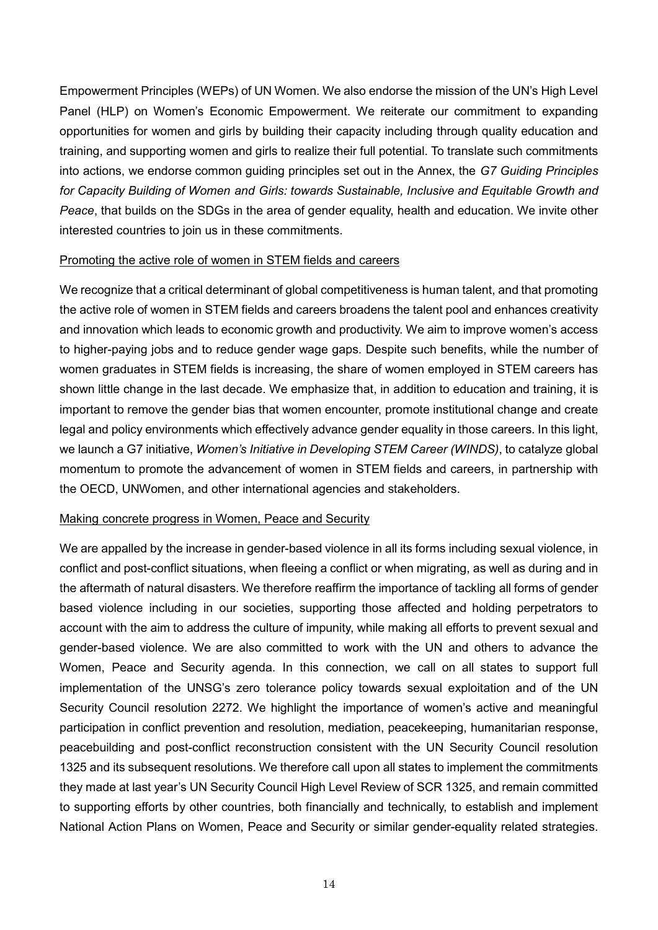Empowerment Principles (WEPs) of UN Women. We also endorse the mission of the UN's High Level Panel (HLP) on Women's Economic Empowerment. We reiterate our commitment to expanding opportunities for women and girls by building their capacity including through quality education and training, and supporting women and girls to realize their full potential. To translate such commitments into actions, we endorse common guiding principles set out in the Annex, the *G7 Guiding Principles for Capacity Building of Women and Girls: towards Sustainable, Inclusive and Equitable Growth and Peace*, that builds on the SDGs in the area of gender equality, health and education. We invite other interested countries to join us in these commitments.

#### Promoting the active role of women in STEM fields and careers

We recognize that a critical determinant of global competitiveness is human talent, and that promoting the active role of women in STEM fields and careers broadens the talent pool and enhances creativity and innovation which leads to economic growth and productivity. We aim to improve women's access to higher-paying jobs and to reduce gender wage gaps. Despite such benefits, while the number of women graduates in STEM fields is increasing, the share of women employed in STEM careers has shown little change in the last decade. We emphasize that, in addition to education and training, it is important to remove the gender bias that women encounter, promote institutional change and create legal and policy environments which effectively advance gender equality in those careers. In this light, we launch a G7 initiative, *Women's Initiative in Developing STEM Career (WINDS)*, to catalyze global momentum to promote the advancement of women in STEM fields and careers, in partnership with the OECD, UNWomen, and other international agencies and stakeholders.

#### Making concrete progress in Women, Peace and Security

We are appalled by the increase in gender-based violence in all its forms including sexual violence, in conflict and post-conflict situations, when fleeing a conflict or when migrating, as well as during and in the aftermath of natural disasters. We therefore reaffirm the importance of tackling all forms of gender based violence including in our societies, supporting those affected and holding perpetrators to account with the aim to address the culture of impunity, while making all efforts to prevent sexual and gender-based violence. We are also committed to work with the UN and others to advance the Women, Peace and Security agenda. In this connection, we call on all states to support full implementation of the UNSG's zero tolerance policy towards sexual exploitation and of the UN Security Council resolution 2272. We highlight the importance of women's active and meaningful participation in conflict prevention and resolution, mediation, peacekeeping, humanitarian response, peacebuilding and post-conflict reconstruction consistent with the UN Security Council resolution 1325 and its subsequent resolutions. We therefore call upon all states to implement the commitments they made at last year's UN Security Council High Level Review of SCR 1325, and remain committed to supporting efforts by other countries, both financially and technically, to establish and implement National Action Plans on Women, Peace and Security or similar gender-equality related strategies.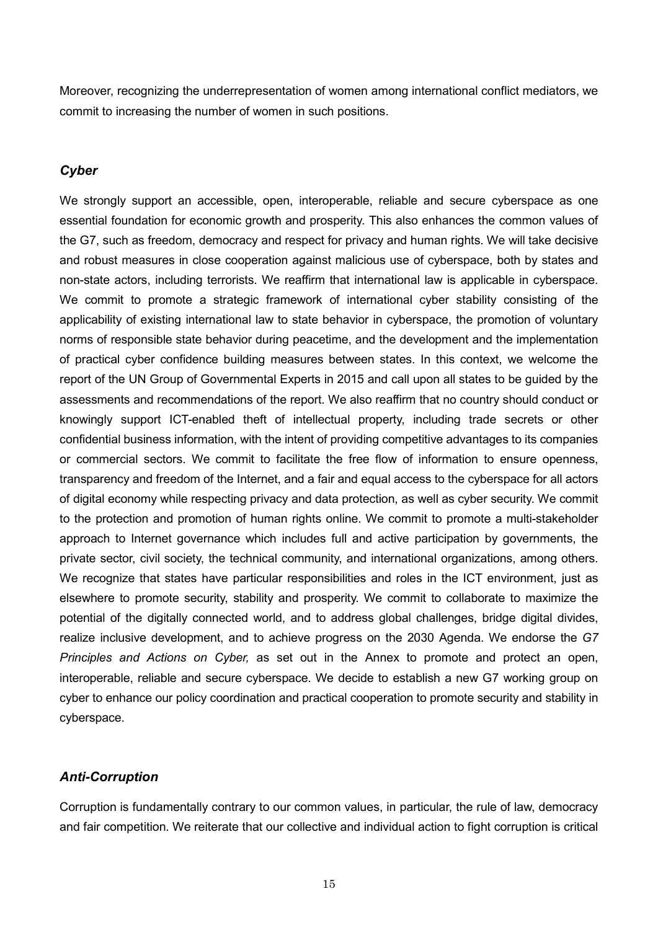Moreover, recognizing the underrepresentation of women among international conflict mediators, we commit to increasing the number of women in such positions.

## *Cyber*

We strongly support an accessible, open, interoperable, reliable and secure cyberspace as one essential foundation for economic growth and prosperity. This also enhances the common values of the G7, such as freedom, democracy and respect for privacy and human rights. We will take decisive and robust measures in close cooperation against malicious use of cyberspace, both by states and non-state actors, including terrorists. We reaffirm that international law is applicable in cyberspace. We commit to promote a strategic framework of international cyber stability consisting of the applicability of existing international law to state behavior in cyberspace, the promotion of voluntary norms of responsible state behavior during peacetime, and the development and the implementation of practical cyber confidence building measures between states. In this context, we welcome the report of the UN Group of Governmental Experts in 2015 and call upon all states to be guided by the assessments and recommendations of the report. We also reaffirm that no country should conduct or knowingly support ICT-enabled theft of intellectual property, including trade secrets or other confidential business information, with the intent of providing competitive advantages to its companies or commercial sectors. We commit to facilitate the free flow of information to ensure openness, transparency and freedom of the Internet, and a fair and equal access to the cyberspace for all actors of digital economy while respecting privacy and data protection, as well as cyber security. We commit to the protection and promotion of human rights online. We commit to promote a multi-stakeholder approach to Internet governance which includes full and active participation by governments, the private sector, civil society, the technical community, and international organizations, among others. We recognize that states have particular responsibilities and roles in the ICT environment, just as elsewhere to promote security, stability and prosperity. We commit to collaborate to maximize the potential of the digitally connected world, and to address global challenges, bridge digital divides, realize inclusive development, and to achieve progress on the 2030 Agenda. We endorse the *G7 Principles and Actions on Cyber,* as set out in the Annex to promote and protect an open, interoperable, reliable and secure cyberspace. We decide to establish a new G7 working group on cyber to enhance our policy coordination and practical cooperation to promote security and stability in cyberspace.

## *Anti-Corruption*

Corruption is fundamentally contrary to our common values, in particular, the rule of law, democracy and fair competition. We reiterate that our collective and individual action to fight corruption is critical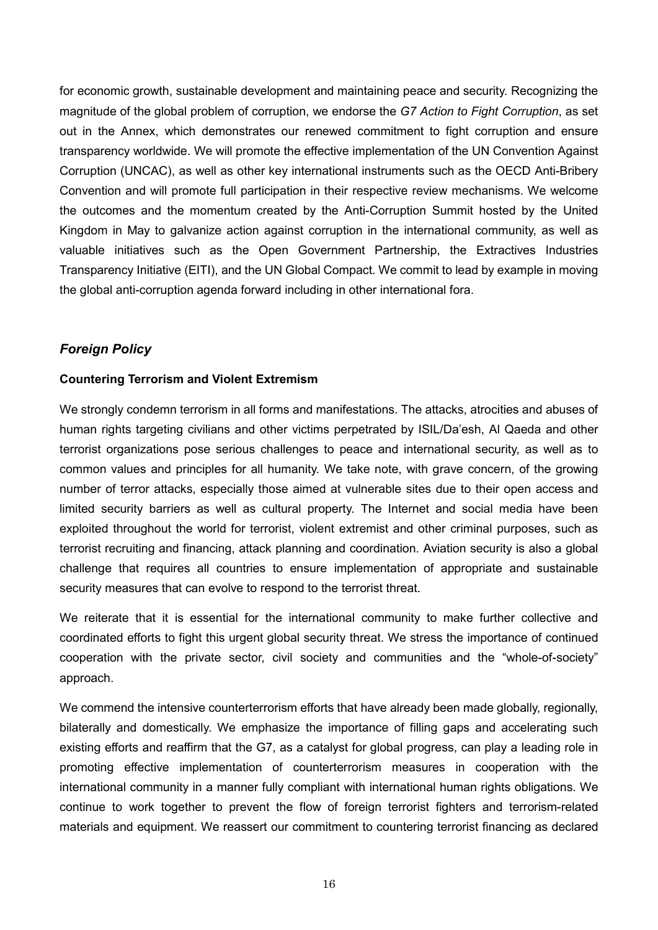for economic growth, sustainable development and maintaining peace and security. Recognizing the magnitude of the global problem of corruption, we endorse the *G7 Action to Fight Corruption*, as set out in the Annex, which demonstrates our renewed commitment to fight corruption and ensure transparency worldwide. We will promote the effective implementation of the UN Convention Against Corruption (UNCAC), as well as other key international instruments such as the OECD Anti-Bribery Convention and will promote full participation in their respective review mechanisms. We welcome the outcomes and the momentum created by the Anti-Corruption Summit hosted by the United Kingdom in May to galvanize action against corruption in the international community, as well as valuable initiatives such as the Open Government Partnership, the Extractives Industries Transparency Initiative (EITI), and the UN Global Compact. We commit to lead by example in moving the global anti-corruption agenda forward including in other international fora.

# *Foreign Policy*

## **Countering Terrorism and Violent Extremism**

We strongly condemn terrorism in all forms and manifestations. The attacks, atrocities and abuses of human rights targeting civilians and other victims perpetrated by ISIL/Da'esh, Al Qaeda and other terrorist organizations pose serious challenges to peace and international security, as well as to common values and principles for all humanity. We take note, with grave concern, of the growing number of terror attacks, especially those aimed at vulnerable sites due to their open access and limited security barriers as well as cultural property. The Internet and social media have been exploited throughout the world for terrorist, violent extremist and other criminal purposes, such as terrorist recruiting and financing, attack planning and coordination. Aviation security is also a global challenge that requires all countries to ensure implementation of appropriate and sustainable security measures that can evolve to respond to the terrorist threat.

We reiterate that it is essential for the international community to make further collective and coordinated efforts to fight this urgent global security threat. We stress the importance of continued cooperation with the private sector, civil society and communities and the "whole-of-society" approach.

We commend the intensive counterterrorism efforts that have already been made globally, regionally, bilaterally and domestically. We emphasize the importance of filling gaps and accelerating such existing efforts and reaffirm that the G7, as a catalyst for global progress, can play a leading role in promoting effective implementation of counterterrorism measures in cooperation with the international community in a manner fully compliant with international human rights obligations. We continue to work together to prevent the flow of foreign terrorist fighters and terrorism-related materials and equipment. We reassert our commitment to countering terrorist financing as declared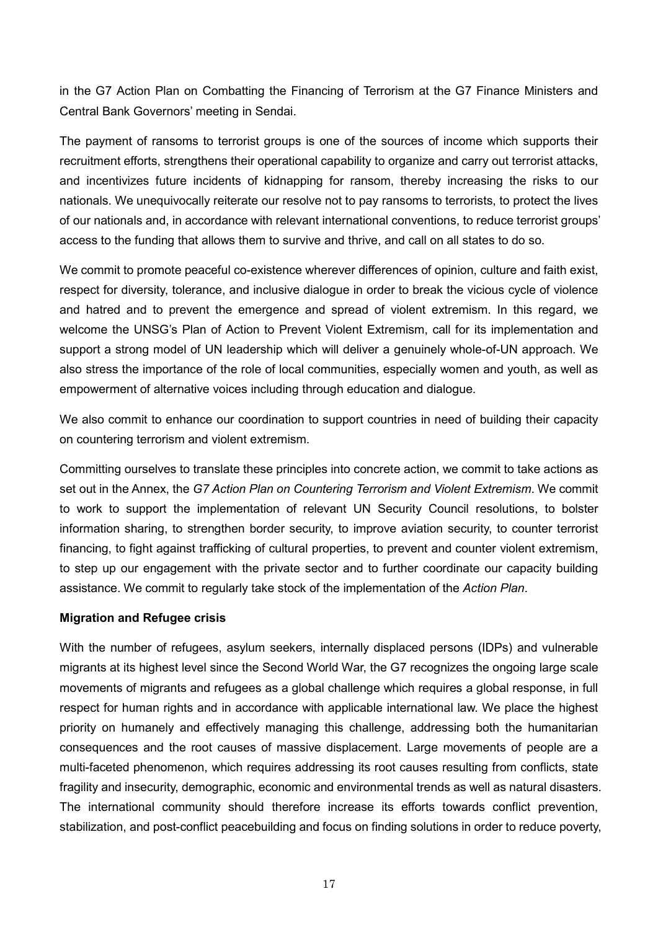in the G7 Action Plan on Combatting the Financing of Terrorism at the G7 Finance Ministers and Central Bank Governors' meeting in Sendai.

The payment of ransoms to terrorist groups is one of the sources of income which supports their recruitment efforts, strengthens their operational capability to organize and carry out terrorist attacks, and incentivizes future incidents of kidnapping for ransom, thereby increasing the risks to our nationals. We unequivocally reiterate our resolve not to pay ransoms to terrorists, to protect the lives of our nationals and, in accordance with relevant international conventions, to reduce terrorist groups' access to the funding that allows them to survive and thrive, and call on all states to do so.

We commit to promote peaceful co-existence wherever differences of opinion, culture and faith exist, respect for diversity, tolerance, and inclusive dialogue in order to break the vicious cycle of violence and hatred and to prevent the emergence and spread of violent extremism. In this regard, we welcome the UNSG's Plan of Action to Prevent Violent Extremism, call for its implementation and support a strong model of UN leadership which will deliver a genuinely whole-of-UN approach. We also stress the importance of the role of local communities, especially women and youth, as well as empowerment of alternative voices including through education and dialogue.

We also commit to enhance our coordination to support countries in need of building their capacity on countering terrorism and violent extremism.

Committing ourselves to translate these principles into concrete action, we commit to take actions as set out in the Annex, the *G7 Action Plan on Countering Terrorism and Violent Extremism*. We commit to work to support the implementation of relevant UN Security Council resolutions, to bolster information sharing, to strengthen border security, to improve aviation security, to counter terrorist financing, to fight against trafficking of cultural properties, to prevent and counter violent extremism, to step up our engagement with the private sector and to further coordinate our capacity building assistance. We commit to regularly take stock of the implementation of the *Action Plan*.

## **Migration and Refugee crisis**

With the number of refugees, asylum seekers, internally displaced persons (IDPs) and vulnerable migrants at its highest level since the Second World War, the G7 recognizes the ongoing large scale movements of migrants and refugees as a global challenge which requires a global response, in full respect for human rights and in accordance with applicable international law. We place the highest priority on humanely and effectively managing this challenge, addressing both the humanitarian consequences and the root causes of massive displacement. Large movements of people are a multi-faceted phenomenon, which requires addressing its root causes resulting from conflicts, state fragility and insecurity, demographic, economic and environmental trends as well as natural disasters. The international community should therefore increase its efforts towards conflict prevention, stabilization, and post-conflict peacebuilding and focus on finding solutions in order to reduce poverty,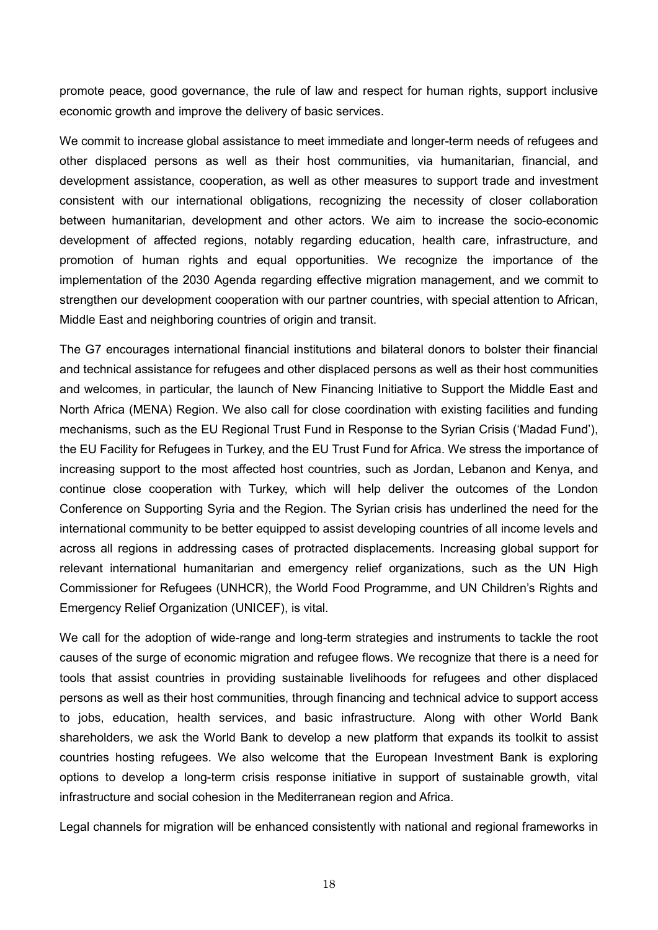promote peace, good governance, the rule of law and respect for human rights, support inclusive economic growth and improve the delivery of basic services.

We commit to increase global assistance to meet immediate and longer-term needs of refugees and other displaced persons as well as their host communities, via humanitarian, financial, and development assistance, cooperation, as well as other measures to support trade and investment consistent with our international obligations, recognizing the necessity of closer collaboration between humanitarian, development and other actors. We aim to increase the socio-economic development of affected regions, notably regarding education, health care, infrastructure, and promotion of human rights and equal opportunities. We recognize the importance of the implementation of the 2030 Agenda regarding effective migration management, and we commit to strengthen our development cooperation with our partner countries, with special attention to African, Middle East and neighboring countries of origin and transit.

The G7 encourages international financial institutions and bilateral donors to bolster their financial and technical assistance for refugees and other displaced persons as well as their host communities and welcomes, in particular, the launch of New Financing Initiative to Support the Middle East and North Africa (MENA) Region. We also call for close coordination with existing facilities and funding mechanisms, such as the EU Regional Trust Fund in Response to the Syrian Crisis ('Madad Fund'), the EU Facility for Refugees in Turkey, and the EU Trust Fund for Africa. We stress the importance of increasing support to the most affected host countries, such as Jordan, Lebanon and Kenya, and continue close cooperation with Turkey, which will help deliver the outcomes of the London Conference on Supporting Syria and the Region. The Syrian crisis has underlined the need for the international community to be better equipped to assist developing countries of all income levels and across all regions in addressing cases of protracted displacements. Increasing global support for relevant international humanitarian and emergency relief organizations, such as the UN High Commissioner for Refugees (UNHCR), the World Food Programme, and UN Children's Rights and Emergency Relief Organization (UNICEF), is vital.

We call for the adoption of wide-range and long-term strategies and instruments to tackle the root causes of the surge of economic migration and refugee flows. We recognize that there is a need for tools that assist countries in providing sustainable livelihoods for refugees and other displaced persons as well as their host communities, through financing and technical advice to support access to jobs, education, health services, and basic infrastructure. Along with other World Bank shareholders, we ask the World Bank to develop a new platform that expands its toolkit to assist countries hosting refugees. We also welcome that the European Investment Bank is exploring options to develop a long-term crisis response initiative in support of sustainable growth, vital infrastructure and social cohesion in the Mediterranean region and Africa.

Legal channels for migration will be enhanced consistently with national and regional frameworks in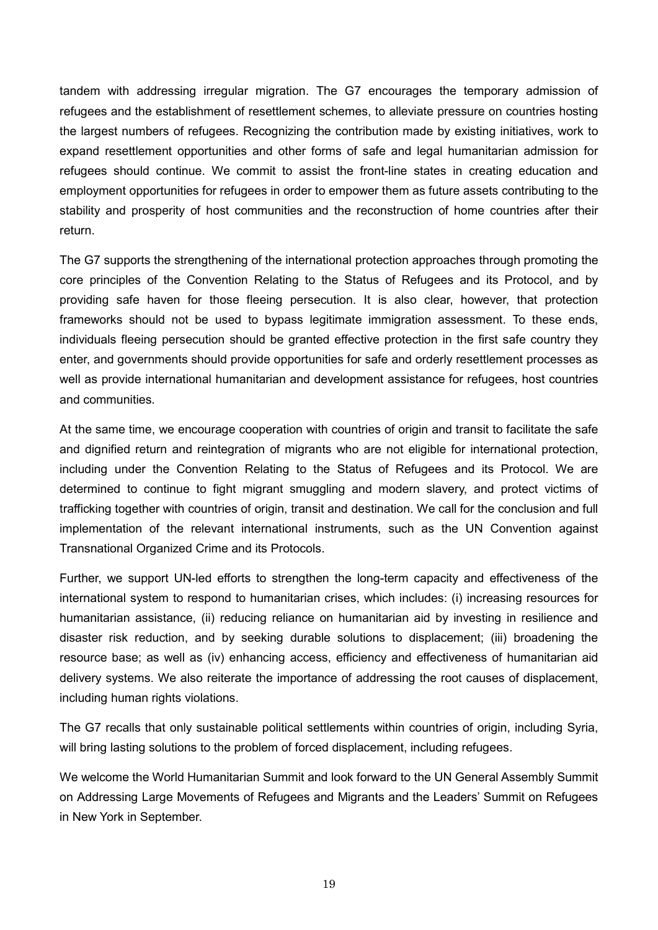tandem with addressing irregular migration. The G7 encourages the temporary admission of refugees and the establishment of resettlement schemes, to alleviate pressure on countries hosting the largest numbers of refugees. Recognizing the contribution made by existing initiatives, work to expand resettlement opportunities and other forms of safe and legal humanitarian admission for refugees should continue. We commit to assist the front-line states in creating education and employment opportunities for refugees in order to empower them as future assets contributing to the stability and prosperity of host communities and the reconstruction of home countries after their return.

The G7 supports the strengthening of the international protection approaches through promoting the core principles of the Convention Relating to the Status of Refugees and its Protocol, and by providing safe haven for those fleeing persecution. It is also clear, however, that protection frameworks should not be used to bypass legitimate immigration assessment. To these ends, individuals fleeing persecution should be granted effective protection in the first safe country they enter, and governments should provide opportunities for safe and orderly resettlement processes as well as provide international humanitarian and development assistance for refugees, host countries and communities.

At the same time, we encourage cooperation with countries of origin and transit to facilitate the safe and dignified return and reintegration of migrants who are not eligible for international protection, including under the Convention Relating to the Status of Refugees and its Protocol. We are determined to continue to fight migrant smuggling and modern slavery, and protect victims of trafficking together with countries of origin, transit and destination. We call for the conclusion and full implementation of the relevant international instruments, such as the UN Convention against Transnational Organized Crime and its Protocols.

Further, we support UN-led efforts to strengthen the long-term capacity and effectiveness of the international system to respond to humanitarian crises, which includes: (i) increasing resources for humanitarian assistance, (ii) reducing reliance on humanitarian aid by investing in resilience and disaster risk reduction, and by seeking durable solutions to displacement; (iii) broadening the resource base; as well as (iv) enhancing access, efficiency and effectiveness of humanitarian aid delivery systems. We also reiterate the importance of addressing the root causes of displacement, including human rights violations.

The G7 recalls that only sustainable political settlements within countries of origin, including Syria, will bring lasting solutions to the problem of forced displacement, including refugees.

We welcome the World Humanitarian Summit and look forward to the UN General Assembly Summit on Addressing Large Movements of Refugees and Migrants and the Leaders' Summit on Refugees in New York in September.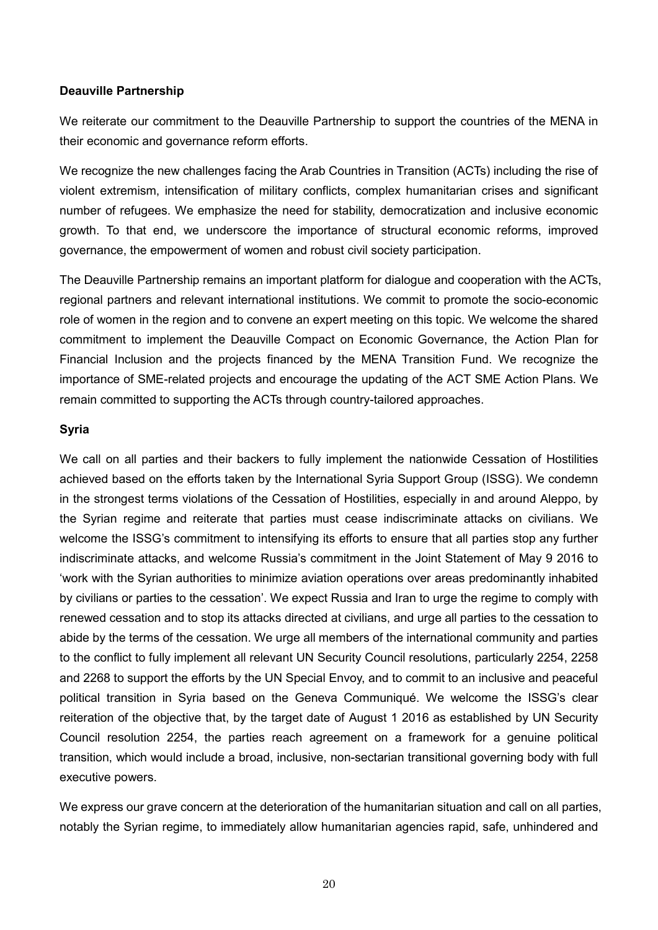#### **Deauville Partnership**

We reiterate our commitment to the Deauville Partnership to support the countries of the MENA in their economic and governance reform efforts.

We recognize the new challenges facing the Arab Countries in Transition (ACTs) including the rise of violent extremism, intensification of military conflicts, complex humanitarian crises and significant number of refugees. We emphasize the need for stability, democratization and inclusive economic growth. To that end, we underscore the importance of structural economic reforms, improved governance, the empowerment of women and robust civil society participation.

The Deauville Partnership remains an important platform for dialogue and cooperation with the ACTs, regional partners and relevant international institutions. We commit to promote the socio-economic role of women in the region and to convene an expert meeting on this topic. We welcome the shared commitment to implement the Deauville Compact on Economic Governance, the Action Plan for Financial Inclusion and the projects financed by the MENA Transition Fund. We recognize the importance of SME-related projects and encourage the updating of the ACT SME Action Plans. We remain committed to supporting the ACTs through country-tailored approaches.

## **Syria**

We call on all parties and their backers to fully implement the nationwide Cessation of Hostilities achieved based on the efforts taken by the International Syria Support Group (ISSG). We condemn in the strongest terms violations of the Cessation of Hostilities, especially in and around Aleppo, by the Syrian regime and reiterate that parties must cease indiscriminate attacks on civilians. We welcome the ISSG's commitment to intensifying its efforts to ensure that all parties stop any further indiscriminate attacks, and welcome Russia's commitment in the Joint Statement of May 9 2016 to 'work with the Syrian authorities to minimize aviation operations over areas predominantly inhabited by civilians or parties to the cessation'. We expect Russia and Iran to urge the regime to comply with renewed cessation and to stop its attacks directed at civilians, and urge all parties to the cessation to abide by the terms of the cessation. We urge all members of the international community and parties to the conflict to fully implement all relevant UN Security Council resolutions, particularly 2254, 2258 and 2268 to support the efforts by the UN Special Envoy, and to commit to an inclusive and peaceful political transition in Syria based on the Geneva Communiqué. We welcome the ISSG's clear reiteration of the objective that, by the target date of August 1 2016 as established by UN Security Council resolution 2254, the parties reach agreement on a framework for a genuine political transition, which would include a broad, inclusive, non-sectarian transitional governing body with full executive powers.

We express our grave concern at the deterioration of the humanitarian situation and call on all parties, notably the Syrian regime, to immediately allow humanitarian agencies rapid, safe, unhindered and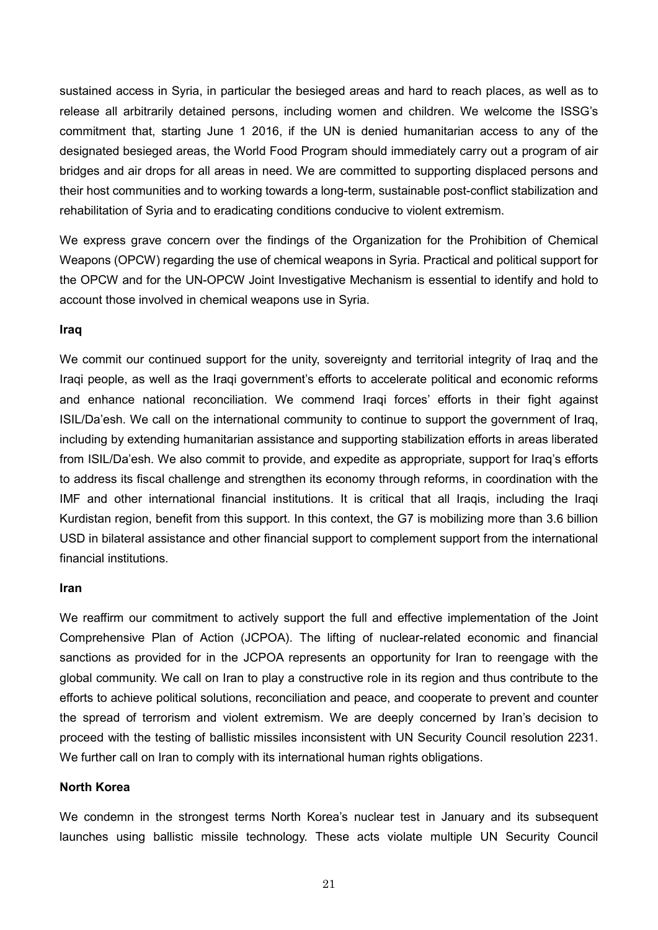sustained access in Syria, in particular the besieged areas and hard to reach places, as well as to release all arbitrarily detained persons, including women and children. We welcome the ISSG's commitment that, starting June 1 2016, if the UN is denied humanitarian access to any of the designated besieged areas, the World Food Program should immediately carry out a program of air bridges and air drops for all areas in need. We are committed to supporting displaced persons and their host communities and to working towards a long-term, sustainable post-conflict stabilization and rehabilitation of Syria and to eradicating conditions conducive to violent extremism.

We express grave concern over the findings of the Organization for the Prohibition of Chemical Weapons (OPCW) regarding the use of chemical weapons in Syria. Practical and political support for the OPCW and for the UN-OPCW Joint Investigative Mechanism is essential to identify and hold to account those involved in chemical weapons use in Syria.

#### **Iraq**

We commit our continued support for the unity, sovereignty and territorial integrity of Iraq and the Iraqi people, as well as the Iraqi government's efforts to accelerate political and economic reforms and enhance national reconciliation. We commend Iraqi forces' efforts in their fight against ISIL/Da'esh. We call on the international community to continue to support the government of Iraq, including by extending humanitarian assistance and supporting stabilization efforts in areas liberated from ISIL/Da'esh. We also commit to provide, and expedite as appropriate, support for Iraq's efforts to address its fiscal challenge and strengthen its economy through reforms, in coordination with the IMF and other international financial institutions. It is critical that all Iraqis, including the Iraqi Kurdistan region, benefit from this support. In this context, the G7 is mobilizing more than 3.6 billion USD in bilateral assistance and other financial support to complement support from the international financial institutions.

#### **Iran**

We reaffirm our commitment to actively support the full and effective implementation of the Joint Comprehensive Plan of Action (JCPOA). The lifting of nuclear-related economic and financial sanctions as provided for in the JCPOA represents an opportunity for Iran to reengage with the global community. We call on Iran to play a constructive role in its region and thus contribute to the efforts to achieve political solutions, reconciliation and peace, and cooperate to prevent and counter the spread of terrorism and violent extremism. We are deeply concerned by Iran's decision to proceed with the testing of ballistic missiles inconsistent with UN Security Council resolution 2231. We further call on Iran to comply with its international human rights obligations.

#### **North Korea**

We condemn in the strongest terms North Korea's nuclear test in January and its subsequent launches using ballistic missile technology. These acts violate multiple UN Security Council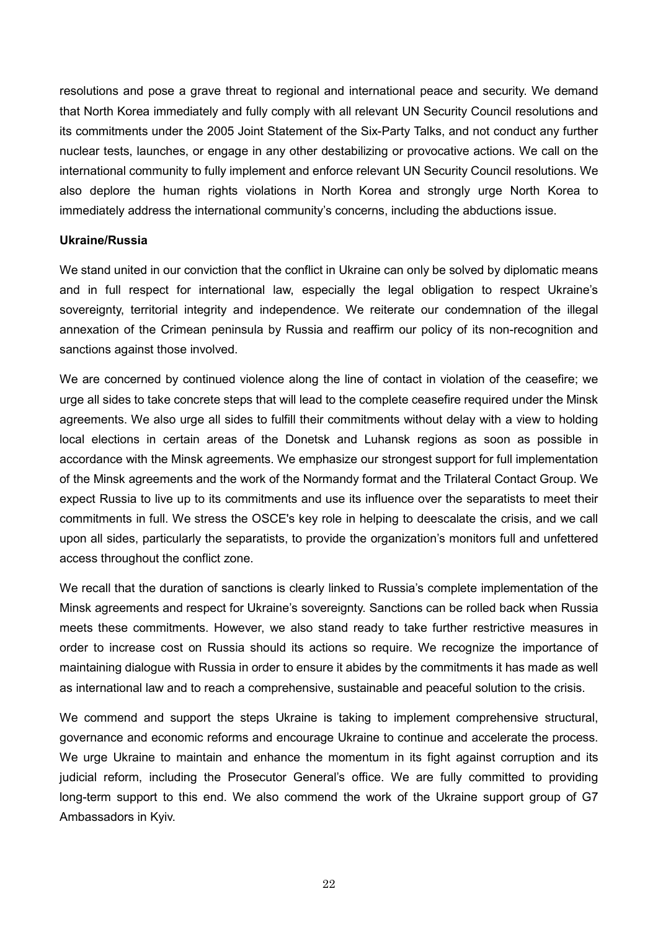resolutions and pose a grave threat to regional and international peace and security. We demand that North Korea immediately and fully comply with all relevant UN Security Council resolutions and its commitments under the 2005 Joint Statement of the Six-Party Talks, and not conduct any further nuclear tests, launches, or engage in any other destabilizing or provocative actions. We call on the international community to fully implement and enforce relevant UN Security Council resolutions. We also deplore the human rights violations in North Korea and strongly urge North Korea to immediately address the international community's concerns, including the abductions issue.

#### **Ukraine/Russia**

We stand united in our conviction that the conflict in Ukraine can only be solved by diplomatic means and in full respect for international law, especially the legal obligation to respect Ukraine's sovereignty, territorial integrity and independence. We reiterate our condemnation of the illegal annexation of the Crimean peninsula by Russia and reaffirm our policy of its non-recognition and sanctions against those involved.

We are concerned by continued violence along the line of contact in violation of the ceasefire; we urge all sides to take concrete steps that will lead to the complete ceasefire required under the Minsk agreements. We also urge all sides to fulfill their commitments without delay with a view to holding local elections in certain areas of the Donetsk and Luhansk regions as soon as possible in accordance with the Minsk agreements. We emphasize our strongest support for full implementation of the Minsk agreements and the work of the Normandy format and the Trilateral Contact Group. We expect Russia to live up to its commitments and use its influence over the separatists to meet their commitments in full. We stress the OSCE's key role in helping to deescalate the crisis, and we call upon all sides, particularly the separatists, to provide the organization's monitors full and unfettered access throughout the conflict zone.

We recall that the duration of sanctions is clearly linked to Russia's complete implementation of the Minsk agreements and respect for Ukraine's sovereignty. Sanctions can be rolled back when Russia meets these commitments. However, we also stand ready to take further restrictive measures in order to increase cost on Russia should its actions so require. We recognize the importance of maintaining dialogue with Russia in order to ensure it abides by the commitments it has made as well as international law and to reach a comprehensive, sustainable and peaceful solution to the crisis.

We commend and support the steps Ukraine is taking to implement comprehensive structural, governance and economic reforms and encourage Ukraine to continue and accelerate the process. We urge Ukraine to maintain and enhance the momentum in its fight against corruption and its judicial reform, including the Prosecutor General's office. We are fully committed to providing long-term support to this end. We also commend the work of the Ukraine support group of G7 Ambassadors in Kyiv.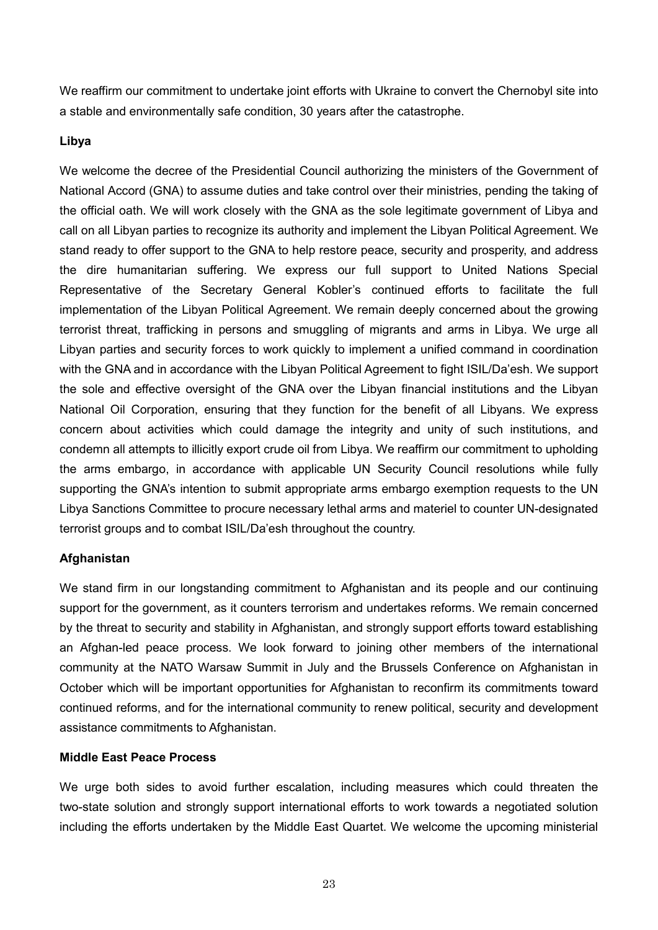We reaffirm our commitment to undertake joint efforts with Ukraine to convert the Chernobyl site into a stable and environmentally safe condition, 30 years after the catastrophe.

## **Libya**

We welcome the decree of the Presidential Council authorizing the ministers of the Government of National Accord (GNA) to assume duties and take control over their ministries, pending the taking of the official oath. We will work closely with the GNA as the sole legitimate government of Libya and call on all Libyan parties to recognize its authority and implement the Libyan Political Agreement. We stand ready to offer support to the GNA to help restore peace, security and prosperity, and address the dire humanitarian suffering. We express our full support to United Nations Special Representative of the Secretary General Kobler's continued efforts to facilitate the full implementation of the Libyan Political Agreement. We remain deeply concerned about the growing terrorist threat, trafficking in persons and smuggling of migrants and arms in Libya. We urge all Libyan parties and security forces to work quickly to implement a unified command in coordination with the GNA and in accordance with the Libyan Political Agreement to fight ISIL/Da'esh. We support the sole and effective oversight of the GNA over the Libyan financial institutions and the Libyan National Oil Corporation, ensuring that they function for the benefit of all Libyans. We express concern about activities which could damage the integrity and unity of such institutions, and condemn all attempts to illicitly export crude oil from Libya. We reaffirm our commitment to upholding the arms embargo, in accordance with applicable UN Security Council resolutions while fully supporting the GNA's intention to submit appropriate arms embargo exemption requests to the UN Libya Sanctions Committee to procure necessary lethal arms and materiel to counter UN-designated terrorist groups and to combat ISIL/Da'esh throughout the country.

#### **Afghanistan**

We stand firm in our longstanding commitment to Afghanistan and its people and our continuing support for the government, as it counters terrorism and undertakes reforms. We remain concerned by the threat to security and stability in Afghanistan, and strongly support efforts toward establishing an Afghan-led peace process. We look forward to joining other members of the international community at the NATO Warsaw Summit in July and the Brussels Conference on Afghanistan in October which will be important opportunities for Afghanistan to reconfirm its commitments toward continued reforms, and for the international community to renew political, security and development assistance commitments to Afghanistan.

#### **Middle East Peace Process**

We urge both sides to avoid further escalation, including measures which could threaten the two-state solution and strongly support international efforts to work towards a negotiated solution including the efforts undertaken by the Middle East Quartet. We welcome the upcoming ministerial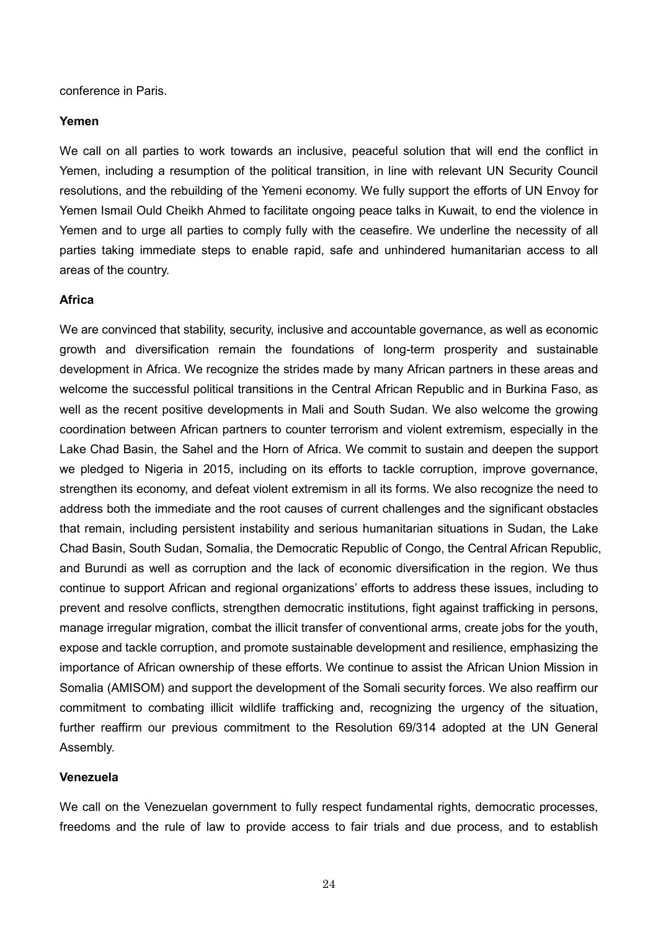conference in Paris.

#### **Yemen**

We call on all parties to work towards an inclusive, peaceful solution that will end the conflict in Yemen, including a resumption of the political transition, in line with relevant UN Security Council resolutions, and the rebuilding of the Yemeni economy. We fully support the efforts of UN Envoy for Yemen Ismail Ould Cheikh Ahmed to facilitate ongoing peace talks in Kuwait, to end the violence in Yemen and to urge all parties to comply fully with the ceasefire. We underline the necessity of all parties taking immediate steps to enable rapid, safe and unhindered humanitarian access to all areas of the country.

#### **Africa**

We are convinced that stability, security, inclusive and accountable governance, as well as economic growth and diversification remain the foundations of long-term prosperity and sustainable development in Africa. We recognize the strides made by many African partners in these areas and welcome the successful political transitions in the Central African Republic and in Burkina Faso, as well as the recent positive developments in Mali and South Sudan. We also welcome the growing coordination between African partners to counter terrorism and violent extremism, especially in the Lake Chad Basin, the Sahel and the Horn of Africa. We commit to sustain and deepen the support we pledged to Nigeria in 2015, including on its efforts to tackle corruption, improve governance, strengthen its economy, and defeat violent extremism in all its forms. We also recognize the need to address both the immediate and the root causes of current challenges and the significant obstacles that remain, including persistent instability and serious humanitarian situations in Sudan, the Lake Chad Basin, South Sudan, Somalia, the Democratic Republic of Congo, the Central African Republic, and Burundi as well as corruption and the lack of economic diversification in the region. We thus continue to support African and regional organizations' efforts to address these issues, including to prevent and resolve conflicts, strengthen democratic institutions, fight against trafficking in persons, manage irregular migration, combat the illicit transfer of conventional arms, create jobs for the youth, expose and tackle corruption, and promote sustainable development and resilience, emphasizing the importance of African ownership of these efforts. We continue to assist the African Union Mission in Somalia (AMISOM) and support the development of the Somali security forces. We also reaffirm our commitment to combating illicit wildlife trafficking and, recognizing the urgency of the situation, further reaffirm our previous commitment to the Resolution 69/314 adopted at the UN General Assembly.

#### **Venezuela**

We call on the Venezuelan government to fully respect fundamental rights, democratic processes, freedoms and the rule of law to provide access to fair trials and due process, and to establish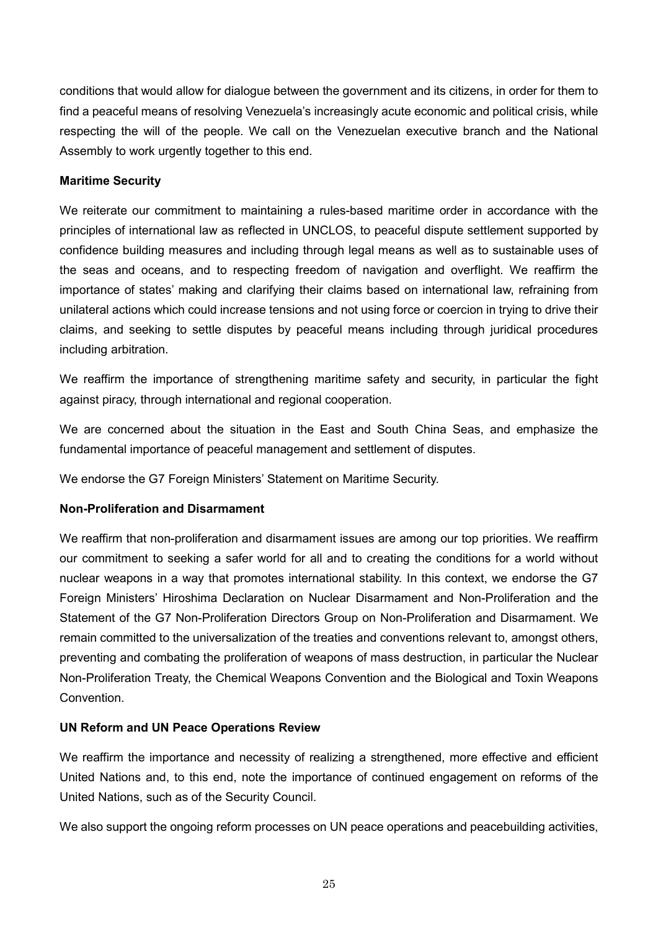conditions that would allow for dialogue between the government and its citizens, in order for them to find a peaceful means of resolving Venezuela's increasingly acute economic and political crisis, while respecting the will of the people. We call on the Venezuelan executive branch and the National Assembly to work urgently together to this end.

## **Maritime Security**

We reiterate our commitment to maintaining a rules-based maritime order in accordance with the principles of international law as reflected in UNCLOS, to peaceful dispute settlement supported by confidence building measures and including through legal means as well as to sustainable uses of the seas and oceans, and to respecting freedom of navigation and overflight. We reaffirm the importance of states' making and clarifying their claims based on international law, refraining from unilateral actions which could increase tensions and not using force or coercion in trying to drive their claims, and seeking to settle disputes by peaceful means including through juridical procedures including arbitration.

We reaffirm the importance of strengthening maritime safety and security, in particular the fight against piracy, through international and regional cooperation.

We are concerned about the situation in the East and South China Seas, and emphasize the fundamental importance of peaceful management and settlement of disputes.

We endorse the G7 Foreign Ministers' Statement on Maritime Security.

## **Non-Proliferation and Disarmament**

We reaffirm that non-proliferation and disarmament issues are among our top priorities. We reaffirm our commitment to seeking a safer world for all and to creating the conditions for a world without nuclear weapons in a way that promotes international stability. In this context, we endorse the G7 Foreign Ministers' Hiroshima Declaration on Nuclear Disarmament and Non-Proliferation and the Statement of the G7 Non-Proliferation Directors Group on Non-Proliferation and Disarmament. We remain committed to the universalization of the treaties and conventions relevant to, amongst others, preventing and combating the proliferation of weapons of mass destruction, in particular the Nuclear Non-Proliferation Treaty, the Chemical Weapons Convention and the Biological and Toxin Weapons Convention.

## **UN Reform and UN Peace Operations Review**

We reaffirm the importance and necessity of realizing a strengthened, more effective and efficient United Nations and, to this end, note the importance of continued engagement on reforms of the United Nations, such as of the Security Council.

We also support the ongoing reform processes on UN peace operations and peacebuilding activities,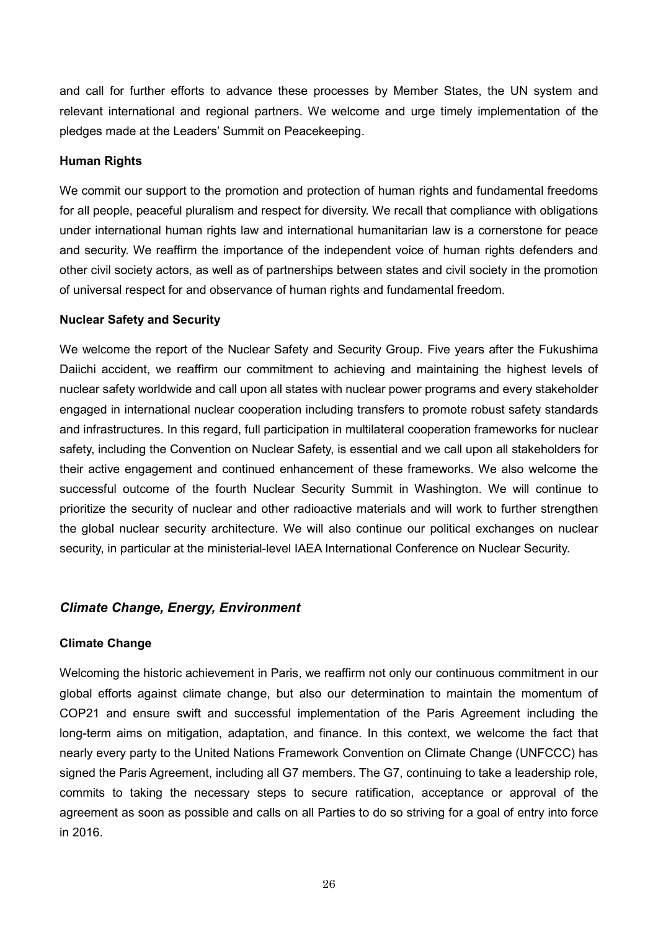and call for further efforts to advance these processes by Member States, the UN system and relevant international and regional partners. We welcome and urge timely implementation of the pledges made at the Leaders' Summit on Peacekeeping.

## **Human Rights**

We commit our support to the promotion and protection of human rights and fundamental freedoms for all people, peaceful pluralism and respect for diversity. We recall that compliance with obligations under international human rights law and international humanitarian law is a cornerstone for peace and security. We reaffirm the importance of the independent voice of human rights defenders and other civil society actors, as well as of partnerships between states and civil society in the promotion of universal respect for and observance of human rights and fundamental freedom.

#### **Nuclear Safety and Security**

We welcome the report of the Nuclear Safety and Security Group. Five years after the Fukushima Daiichi accident, we reaffirm our commitment to achieving and maintaining the highest levels of nuclear safety worldwide and call upon all states with nuclear power programs and every stakeholder engaged in international nuclear cooperation including transfers to promote robust safety standards and infrastructures. In this regard, full participation in multilateral cooperation frameworks for nuclear safety, including the Convention on Nuclear Safety, is essential and we call upon all stakeholders for their active engagement and continued enhancement of these frameworks. We also welcome the successful outcome of the fourth Nuclear Security Summit in Washington. We will continue to prioritize the security of nuclear and other radioactive materials and will work to further strengthen the global nuclear security architecture. We will also continue our political exchanges on nuclear security, in particular at the ministerial-level IAEA International Conference on Nuclear Security.

# *Climate Change, Energy, Environment*

## **Climate Change**

Welcoming the historic achievement in Paris, we reaffirm not only our continuous commitment in our global efforts against climate change, but also our determination to maintain the momentum of COP21 and ensure swift and successful implementation of the Paris Agreement including the long-term aims on mitigation, adaptation, and finance. In this context, we welcome the fact that nearly every party to the United Nations Framework Convention on Climate Change (UNFCCC) has signed the Paris Agreement, including all G7 members. The G7, continuing to take a leadership role, commits to taking the necessary steps to secure ratification, acceptance or approval of the agreement as soon as possible and calls on all Parties to do so striving for a goal of entry into force in 2016.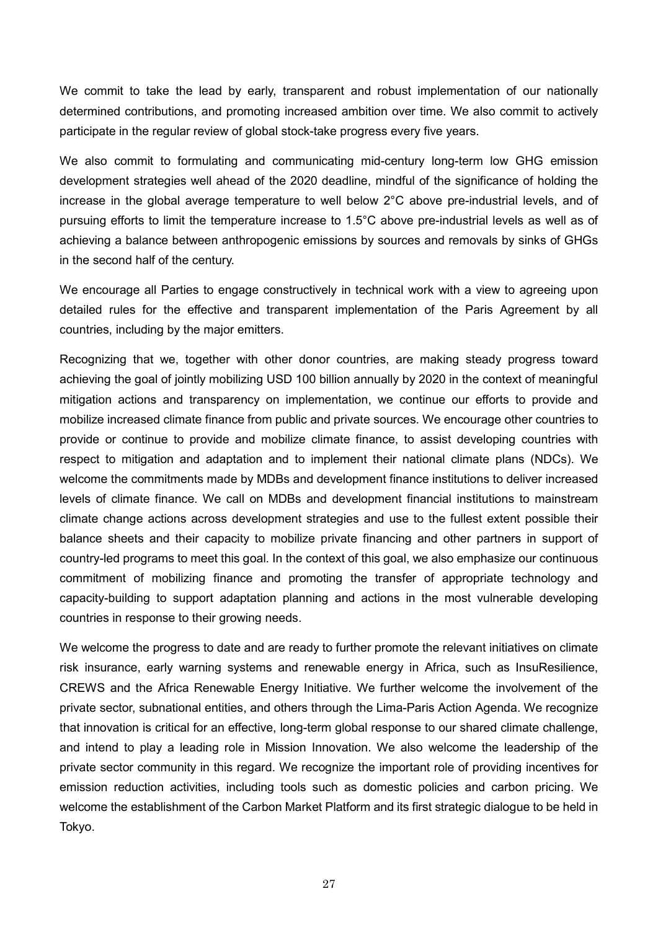We commit to take the lead by early, transparent and robust implementation of our nationally determined contributions, and promoting increased ambition over time. We also commit to actively participate in the regular review of global stock-take progress every five years.

We also commit to formulating and communicating mid-century long-term low GHG emission development strategies well ahead of the 2020 deadline, mindful of the significance of holding the increase in the global average temperature to well below 2°C above pre-industrial levels, and of pursuing efforts to limit the temperature increase to 1.5°C above pre-industrial levels as well as of achieving a balance between anthropogenic emissions by sources and removals by sinks of GHGs in the second half of the century.

We encourage all Parties to engage constructively in technical work with a view to agreeing upon detailed rules for the effective and transparent implementation of the Paris Agreement by all countries, including by the major emitters.

Recognizing that we, together with other donor countries, are making steady progress toward achieving the goal of jointly mobilizing USD 100 billion annually by 2020 in the context of meaningful mitigation actions and transparency on implementation, we continue our efforts to provide and mobilize increased climate finance from public and private sources. We encourage other countries to provide or continue to provide and mobilize climate finance, to assist developing countries with respect to mitigation and adaptation and to implement their national climate plans (NDCs). We welcome the commitments made by MDBs and development finance institutions to deliver increased levels of climate finance. We call on MDBs and development financial institutions to mainstream climate change actions across development strategies and use to the fullest extent possible their balance sheets and their capacity to mobilize private financing and other partners in support of country-led programs to meet this goal. In the context of this goal, we also emphasize our continuous commitment of mobilizing finance and promoting the transfer of appropriate technology and capacity-building to support adaptation planning and actions in the most vulnerable developing countries in response to their growing needs.

We welcome the progress to date and are ready to further promote the relevant initiatives on climate risk insurance, early warning systems and renewable energy in Africa, such as InsuResilience, CREWS and the Africa Renewable Energy Initiative. We further welcome the involvement of the private sector, subnational entities, and others through the Lima-Paris Action Agenda. We recognize that innovation is critical for an effective, long-term global response to our shared climate challenge, and intend to play a leading role in Mission Innovation. We also welcome the leadership of the private sector community in this regard. We recognize the important role of providing incentives for emission reduction activities, including tools such as domestic policies and carbon pricing. We welcome the establishment of the Carbon Market Platform and its first strategic dialogue to be held in Tokyo.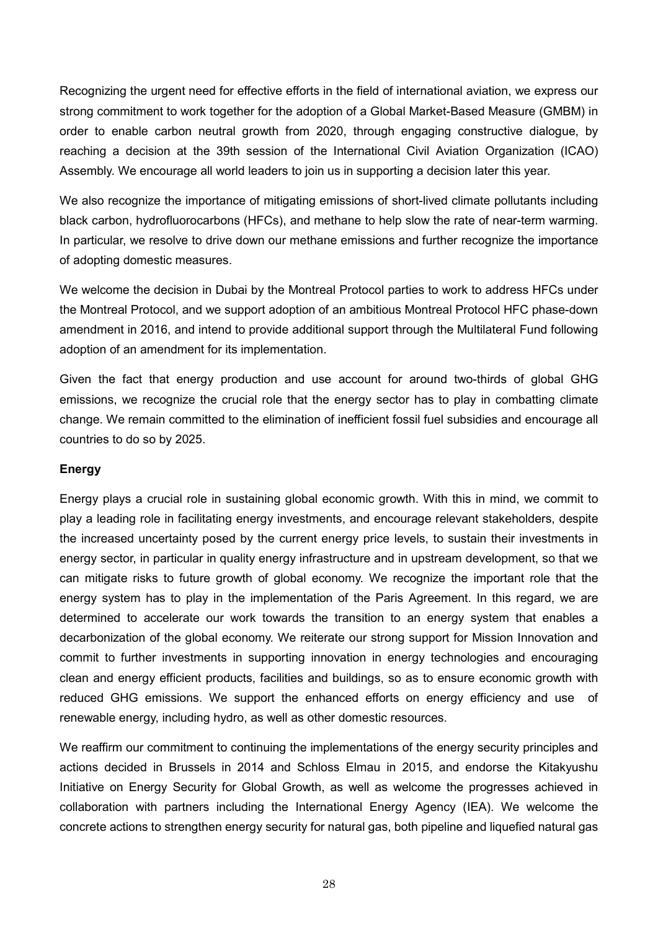Recognizing the urgent need for effective efforts in the field of international aviation, we express our strong commitment to work together for the adoption of a Global Market-Based Measure (GMBM) in order to enable carbon neutral growth from 2020, through engaging constructive dialogue, by reaching a decision at the 39th session of the International Civil Aviation Organization (ICAO) Assembly. We encourage all world leaders to join us in supporting a decision later this year.

We also recognize the importance of mitigating emissions of short-lived climate pollutants including black carbon, hydrofluorocarbons (HFCs), and methane to help slow the rate of near-term warming. In particular, we resolve to drive down our methane emissions and further recognize the importance of adopting domestic measures.

We welcome the decision in Dubai by the Montreal Protocol parties to work to address HFCs under the Montreal Protocol, and we support adoption of an ambitious Montreal Protocol HFC phase-down amendment in 2016, and intend to provide additional support through the Multilateral Fund following adoption of an amendment for its implementation.

Given the fact that energy production and use account for around two-thirds of global GHG emissions, we recognize the crucial role that the energy sector has to play in combatting climate change. We remain committed to the elimination of inefficient fossil fuel subsidies and encourage all countries to do so by 2025.

#### **Energy**

Energy plays a crucial role in sustaining global economic growth. With this in mind, we commit to play a leading role in facilitating energy investments, and encourage relevant stakeholders, despite the increased uncertainty posed by the current energy price levels, to sustain their investments in energy sector, in particular in quality energy infrastructure and in upstream development, so that we can mitigate risks to future growth of global economy. We recognize the important role that the energy system has to play in the implementation of the Paris Agreement. In this regard, we are determined to accelerate our work towards the transition to an energy system that enables a decarbonization of the global economy. We reiterate our strong support for Mission Innovation and commit to further investments in supporting innovation in energy technologies and encouraging clean and energy efficient products, facilities and buildings, so as to ensure economic growth with reduced GHG emissions. We support the enhanced efforts on energy efficiency and use of renewable energy, including hydro, as well as other domestic resources.

We reaffirm our commitment to continuing the implementations of the energy security principles and actions decided in Brussels in 2014 and Schloss Elmau in 2015, and endorse the Kitakyushu Initiative on Energy Security for Global Growth, as well as welcome the progresses achieved in collaboration with partners including the International Energy Agency (IEA). We welcome the concrete actions to strengthen energy security for natural gas, both pipeline and liquefied natural gas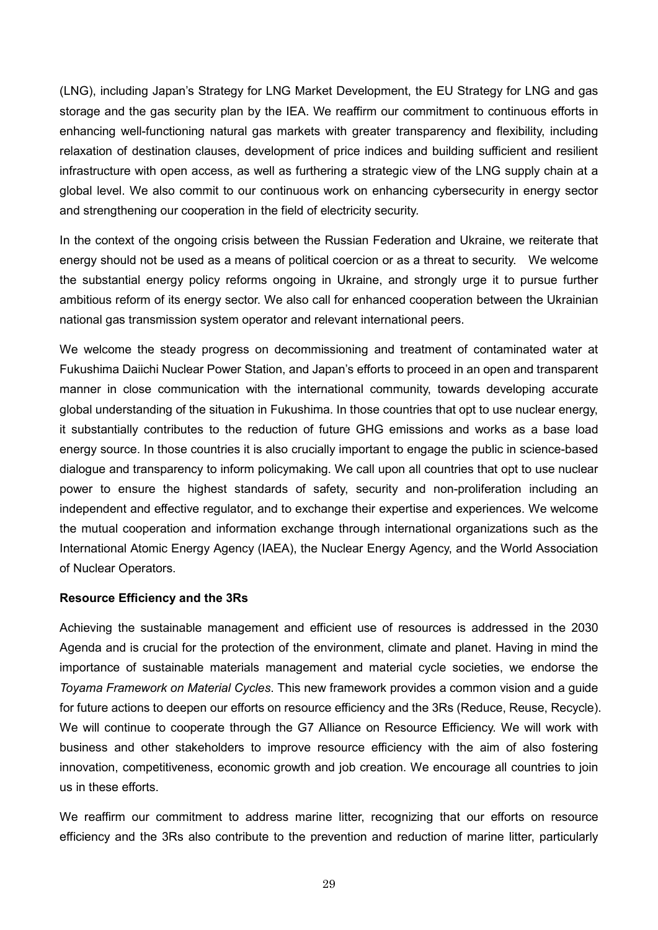(LNG), including Japan's Strategy for LNG Market Development, the EU Strategy for LNG and gas storage and the gas security plan by the IEA. We reaffirm our commitment to continuous efforts in enhancing well-functioning natural gas markets with greater transparency and flexibility, including relaxation of destination clauses, development of price indices and building sufficient and resilient infrastructure with open access, as well as furthering a strategic view of the LNG supply chain at a global level. We also commit to our continuous work on enhancing cybersecurity in energy sector and strengthening our cooperation in the field of electricity security.

In the context of the ongoing crisis between the Russian Federation and Ukraine, we reiterate that energy should not be used as a means of political coercion or as a threat to security. We welcome the substantial energy policy reforms ongoing in Ukraine, and strongly urge it to pursue further ambitious reform of its energy sector. We also call for enhanced cooperation between the Ukrainian national gas transmission system operator and relevant international peers.

We welcome the steady progress on decommissioning and treatment of contaminated water at Fukushima Daiichi Nuclear Power Station, and Japan's efforts to proceed in an open and transparent manner in close communication with the international community, towards developing accurate global understanding of the situation in Fukushima. In those countries that opt to use nuclear energy, it substantially contributes to the reduction of future GHG emissions and works as a base load energy source. In those countries it is also crucially important to engage the public in science-based dialogue and transparency to inform policymaking. We call upon all countries that opt to use nuclear power to ensure the highest standards of safety, security and non-proliferation including an independent and effective regulator, and to exchange their expertise and experiences. We welcome the mutual cooperation and information exchange through international organizations such as the International Atomic Energy Agency (IAEA), the Nuclear Energy Agency, and the World Association of Nuclear Operators.

#### **Resource Efficiency and the 3Rs**

Achieving the sustainable management and efficient use of resources is addressed in the 2030 Agenda and is crucial for the protection of the environment, climate and planet. Having in mind the importance of sustainable materials management and material cycle societies, we endorse the *Toyama Framework on Material Cycles*. This new framework provides a common vision and a guide for future actions to deepen our efforts on resource efficiency and the 3Rs (Reduce, Reuse, Recycle). We will continue to cooperate through the G7 Alliance on Resource Efficiency. We will work with business and other stakeholders to improve resource efficiency with the aim of also fostering innovation, competitiveness, economic growth and job creation. We encourage all countries to join us in these efforts.

We reaffirm our commitment to address marine litter, recognizing that our efforts on resource efficiency and the 3Rs also contribute to the prevention and reduction of marine litter, particularly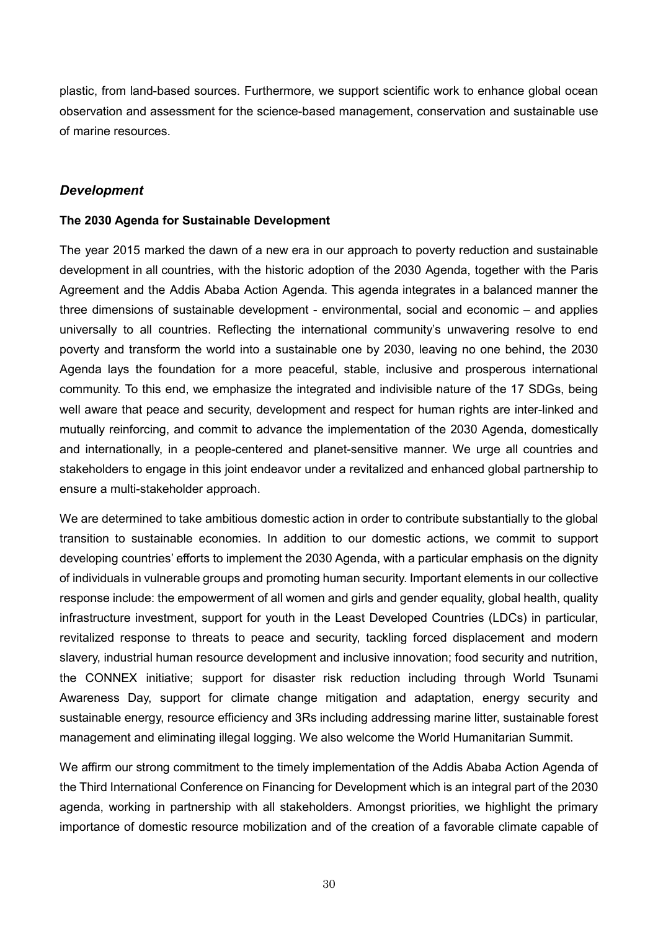plastic, from land-based sources. Furthermore, we support scientific work to enhance global ocean observation and assessment for the science-based management, conservation and sustainable use of marine resources.

## *Development*

#### **The 2030 Agenda for Sustainable Development**

The year 2015 marked the dawn of a new era in our approach to poverty reduction and sustainable development in all countries, with the historic adoption of the 2030 Agenda, together with the Paris Agreement and the Addis Ababa Action Agenda. This agenda integrates in a balanced manner the three dimensions of sustainable development - environmental, social and economic – and applies universally to all countries. Reflecting the international community's unwavering resolve to end poverty and transform the world into a sustainable one by 2030, leaving no one behind, the 2030 Agenda lays the foundation for a more peaceful, stable, inclusive and prosperous international community. To this end, we emphasize the integrated and indivisible nature of the 17 SDGs, being well aware that peace and security, development and respect for human rights are inter-linked and mutually reinforcing, and commit to advance the implementation of the 2030 Agenda, domestically and internationally, in a people-centered and planet-sensitive manner. We urge all countries and stakeholders to engage in this joint endeavor under a revitalized and enhanced global partnership to ensure a multi-stakeholder approach.

We are determined to take ambitious domestic action in order to contribute substantially to the global transition to sustainable economies. In addition to our domestic actions, we commit to support developing countries' efforts to implement the 2030 Agenda, with a particular emphasis on the dignity of individuals in vulnerable groups and promoting human security. Important elements in our collective response include: the empowerment of all women and girls and gender equality, global health, quality infrastructure investment, support for youth in the Least Developed Countries (LDCs) in particular, revitalized response to threats to peace and security, tackling forced displacement and modern slavery, industrial human resource development and inclusive innovation; food security and nutrition, the CONNEX initiative; support for disaster risk reduction including through World Tsunami Awareness Day, support for climate change mitigation and adaptation, energy security and sustainable energy, resource efficiency and 3Rs including addressing marine litter, sustainable forest management and eliminating illegal logging. We also welcome the World Humanitarian Summit.

We affirm our strong commitment to the timely implementation of the Addis Ababa Action Agenda of the Third International Conference on Financing for Development which is an integral part of the 2030 agenda, working in partnership with all stakeholders. Amongst priorities, we highlight the primary importance of domestic resource mobilization and of the creation of a favorable climate capable of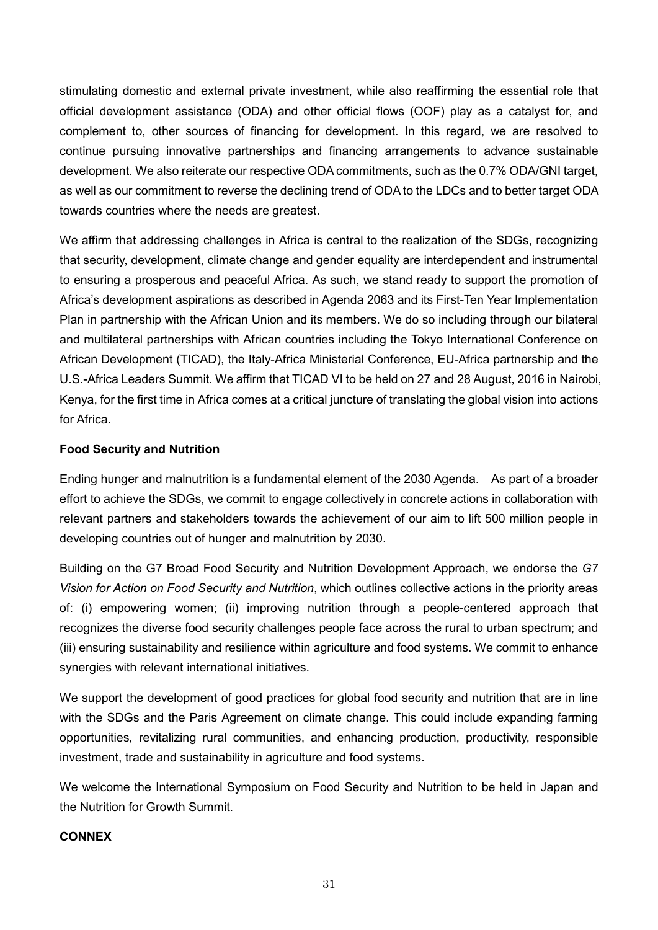stimulating domestic and external private investment, while also reaffirming the essential role that official development assistance (ODA) and other official flows (OOF) play as a catalyst for, and complement to, other sources of financing for development. In this regard, we are resolved to continue pursuing innovative partnerships and financing arrangements to advance sustainable development. We also reiterate our respective ODA commitments, such as the 0.7% ODA/GNI target, as well as our commitment to reverse the declining trend of ODA to the LDCs and to better target ODA towards countries where the needs are greatest.

We affirm that addressing challenges in Africa is central to the realization of the SDGs, recognizing that security, development, climate change and gender equality are interdependent and instrumental to ensuring a prosperous and peaceful Africa. As such, we stand ready to support the promotion of Africa's development aspirations as described in Agenda 2063 and its First-Ten Year Implementation Plan in partnership with the African Union and its members. We do so including through our bilateral and multilateral partnerships with African countries including the Tokyo International Conference on African Development (TICAD), the Italy-Africa Ministerial Conference, EU-Africa partnership and the U.S.-Africa Leaders Summit. We affirm that TICAD VI to be held on 27 and 28 August, 2016 in Nairobi, Kenya, for the first time in Africa comes at a critical juncture of translating the global vision into actions for Africa.

## **Food Security and Nutrition**

Ending hunger and malnutrition is a fundamental element of the 2030 Agenda. As part of a broader effort to achieve the SDGs, we commit to engage collectively in concrete actions in collaboration with relevant partners and stakeholders towards the achievement of our aim to lift 500 million people in developing countries out of hunger and malnutrition by 2030.

Building on the G7 Broad Food Security and Nutrition Development Approach, we endorse the *G7 Vision for Action on Food Security and Nutrition*, which outlines collective actions in the priority areas of: (i) empowering women; (ii) improving nutrition through a people-centered approach that recognizes the diverse food security challenges people face across the rural to urban spectrum; and (iii) ensuring sustainability and resilience within agriculture and food systems. We commit to enhance synergies with relevant international initiatives.

We support the development of good practices for global food security and nutrition that are in line with the SDGs and the Paris Agreement on climate change. This could include expanding farming opportunities, revitalizing rural communities, and enhancing production, productivity, responsible investment, trade and sustainability in agriculture and food systems.

We welcome the International Symposium on Food Security and Nutrition to be held in Japan and the Nutrition for Growth Summit.

#### **CONNEX**